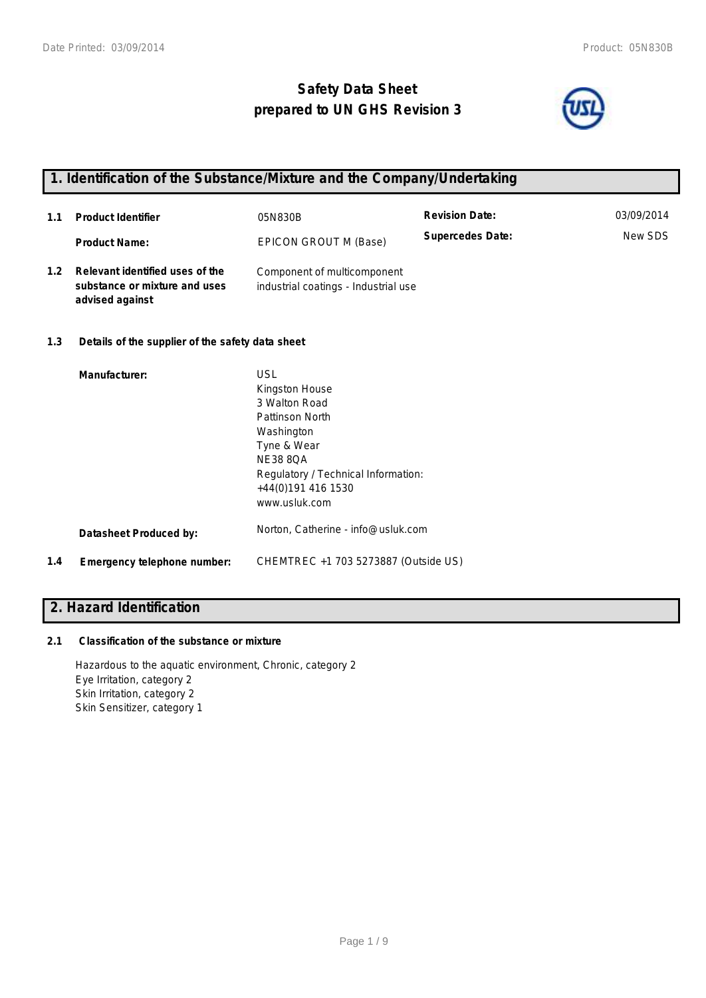# **Safety Data Sheet prepared to UN GHS Revision 3**



## **1. Identification of the Substance/Mixture and the Company/Undertaking**

| 1.1              | <b>Product Identifier</b>                                                           | 05N830B                                                                                                                                                                                        | <b>Revision Date:</b>   | 03/09/2014 |
|------------------|-------------------------------------------------------------------------------------|------------------------------------------------------------------------------------------------------------------------------------------------------------------------------------------------|-------------------------|------------|
|                  | <b>Product Name:</b>                                                                | EPICON GROUT M (Base)                                                                                                                                                                          | <b>Supercedes Date:</b> | New SDS    |
| 1.2 <sub>1</sub> | Relevant identified uses of the<br>substance or mixture and uses<br>advised against | Component of multicomponent<br>industrial coatings - Industrial use                                                                                                                            |                         |            |
| 1.3              | Details of the supplier of the safety data sheet                                    |                                                                                                                                                                                                |                         |            |
|                  | Manufacturer:                                                                       | <b>USL</b><br>Kingston House<br>3 Walton Road<br>Pattinson North<br>Washington<br>Tyne & Wear<br><b>NE38 8QA</b><br>Regulatory / Technical Information:<br>+44(0)191 416 1530<br>www.usluk.com |                         |            |
|                  | <b>Datasheet Produced by:</b>                                                       | Norton, Catherine - info@usluk.com                                                                                                                                                             |                         |            |
| 1.4              | Emergency telephone number:                                                         | CHEMTREC +1 703 5273887 (Outside US)                                                                                                                                                           |                         |            |

# **2. Hazard Identification**

### **2.1 Classification of the substance or mixture**

Hazardous to the aquatic environment, Chronic, category 2 Eye Irritation, category 2 Skin Irritation, category 2 Skin Sensitizer, category 1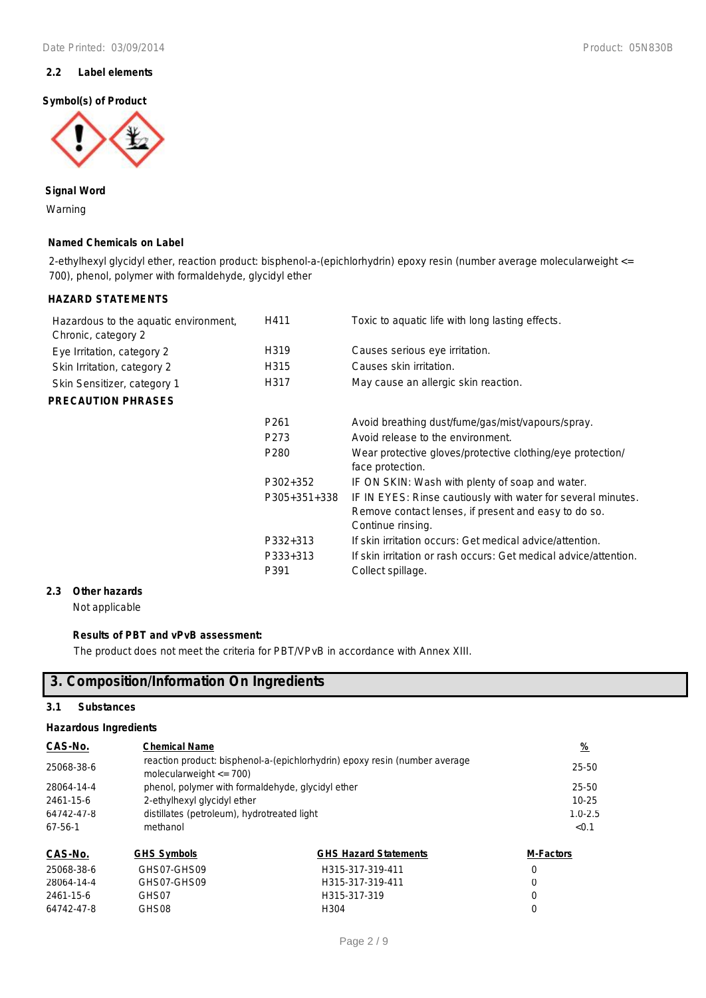### **2.2 Label elements**

### **Symbol(s) of Product**



**Signal Word** Warning

### **Named Chemicals on Label**

2-ethylhexyl glycidyl ether, reaction product: bisphenol-a-(epichlorhydrin) epoxy resin (number average molecularweight <= 700), phenol, polymer with formaldehyde, glycidyl ether

### **HAZARD STATEMENTS**

| Hazardous to the aquatic environment,<br>Chronic, category 2 | H411                         | Toxic to aquatic life with long lasting effects.                                                                                                  |
|--------------------------------------------------------------|------------------------------|---------------------------------------------------------------------------------------------------------------------------------------------------|
| Eye Irritation, category 2                                   | H319                         | Causes serious eye irritation.                                                                                                                    |
| Skin Irritation, category 2                                  | H315                         | Causes skin irritation.                                                                                                                           |
| Skin Sensitizer, category 1                                  | H317                         | May cause an allergic skin reaction.                                                                                                              |
| <b>PRECAUTION PHRASES</b>                                    |                              |                                                                                                                                                   |
|                                                              | P <sub>261</sub>             | Avoid breathing dust/fume/gas/mist/vapours/spray.                                                                                                 |
|                                                              | P273                         | Avoid release to the environment.                                                                                                                 |
|                                                              | P <sub>280</sub>             | Wear protective gloves/protective clothing/eye protection/<br>face protection.                                                                    |
|                                                              | P302+352                     | IF ON SKIN: Wash with plenty of soap and water.                                                                                                   |
|                                                              | P305+351+338                 | IF IN EYES: Rinse cautiously with water for several minutes.<br>Remove contact lenses, if present and easy to do so.<br>Continue rinsing.         |
|                                                              | P332+313<br>P333+313<br>P391 | If skin irritation occurs: Get medical advice/attention.<br>If skin irritation or rash occurs: Get medical advice/attention.<br>Collect spillage. |

### **2.3 Other hazards**

Not applicable

### **Results of PBT and vPvB assessment:**

The product does not meet the criteria for PBT/VPvB in accordance with Annex XIII.

### **3. Composition/Information On Ingredients**

### **3.1 Substances**

### **Hazardous Ingredients**

| CAS-No.    | <b>Chemical Name</b>                                                                                      |                                             | <u>%</u>         |  |
|------------|-----------------------------------------------------------------------------------------------------------|---------------------------------------------|------------------|--|
| 25068-38-6 | reaction product: bisphenol-a-(epichlorhydrin) epoxy resin (number average<br>molecularweight $\leq$ 700) | 25-50                                       |                  |  |
| 28064-14-4 | phenol, polymer with formaldehyde, glycidyl ether                                                         |                                             | 25-50            |  |
| 2461-15-6  |                                                                                                           | 2-ethylhexyl glycidyl ether                 |                  |  |
| 64742-47-8 |                                                                                                           | distillates (petroleum), hydrotreated light |                  |  |
| $67-56-1$  | methanol                                                                                                  |                                             | < 0.1            |  |
| CAS-No.    | <b>GHS Symbols</b>                                                                                        | <b>GHS Hazard Statements</b>                | <b>M-Factors</b> |  |
| 25068-38-6 | GHS07-GHS09                                                                                               | H315-317-319-411                            | 0                |  |
| 28064-14-4 | GHS07-GHS09                                                                                               | H315-317-319-411                            | 0                |  |

2461-15-6 GHS07 H315-317-319 0 64742-47-8 GHS08 H304 0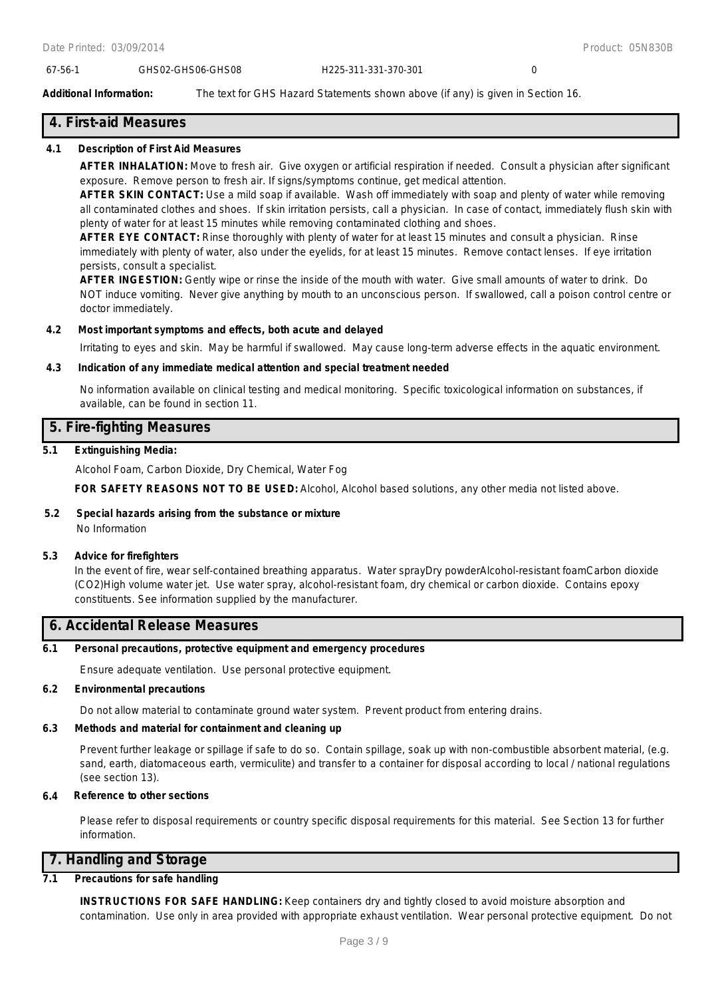### 67-56-1 GHS02-GHS06-GHS08 H225-311-331-370-301 0

**Additional Information:** The text for GHS Hazard Statements shown above (if any) is given in Section 16.

### **4. First-aid Measures**

### **4.1 Description of First Aid Measures**

**AFTER INHALATION:** Move to fresh air. Give oxygen or artificial respiration if needed. Consult a physician after significant exposure. Remove person to fresh air. If signs/symptoms continue, get medical attention.

**AFTER SKIN CONTACT:** Use a mild soap if available. Wash off immediately with soap and plenty of water while removing all contaminated clothes and shoes. If skin irritation persists, call a physician. In case of contact, immediately flush skin with plenty of water for at least 15 minutes while removing contaminated clothing and shoes.

**AFTER EYE CONTACT:** Rinse thoroughly with plenty of water for at least 15 minutes and consult a physician. Rinse immediately with plenty of water, also under the eyelids, for at least 15 minutes. Remove contact lenses. If eye irritation persists, consult a specialist.

**AFTER INGESTION:** Gently wipe or rinse the inside of the mouth with water. Give small amounts of water to drink. Do NOT induce vomiting. Never give anything by mouth to an unconscious person. If swallowed, call a poison control centre or doctor immediately.

### **4.2 Most important symptoms and effects, both acute and delayed**

Irritating to eyes and skin. May be harmful if swallowed. May cause long-term adverse effects in the aquatic environment.

### **4.3 Indication of any immediate medical attention and special treatment needed**

No information available on clinical testing and medical monitoring. Specific toxicological information on substances, if available, can be found in section 11.

### **5. Fire-fighting Measures**

### **5.1 Extinguishing Media:**

Alcohol Foam, Carbon Dioxide, Dry Chemical, Water Fog

**FOR SAFETY REASONS NOT TO BE USED:** Alcohol, Alcohol based solutions, any other media not listed above.

#### **5.2 Special hazards arising from the substance or mixture** No Information

### **5.3 Advice for firefighters**

In the event of fire, wear self-contained breathing apparatus. Water sprayDry powderAlcohol-resistant foamCarbon dioxide (CO2)High volume water jet. Use water spray, alcohol-resistant foam, dry chemical or carbon dioxide. Contains epoxy constituents. See information supplied by the manufacturer.

### **6. Accidental Release Measures**

#### **6.1 Personal precautions, protective equipment and emergency procedures**

Ensure adequate ventilation. Use personal protective equipment.

### **6.2 Environmental precautions**

Do not allow material to contaminate ground water system. Prevent product from entering drains.

### **6.3 Methods and material for containment and cleaning up**

Prevent further leakage or spillage if safe to do so. Contain spillage, soak up with non-combustible absorbent material, (e.g. sand, earth, diatomaceous earth, vermiculite) and transfer to a container for disposal according to local / national regulations (see section 13).

### **6.4 Reference to other sections**

Please refer to disposal requirements or country specific disposal requirements for this material. See Section 13 for further information.

### **7. Handling and Storage**

### **7.1 Precautions for safe handling**

**INSTRUCTIONS FOR SAFE HANDLING:** Keep containers dry and tightly closed to avoid moisture absorption and contamination. Use only in area provided with appropriate exhaust ventilation. Wear personal protective equipment. Do not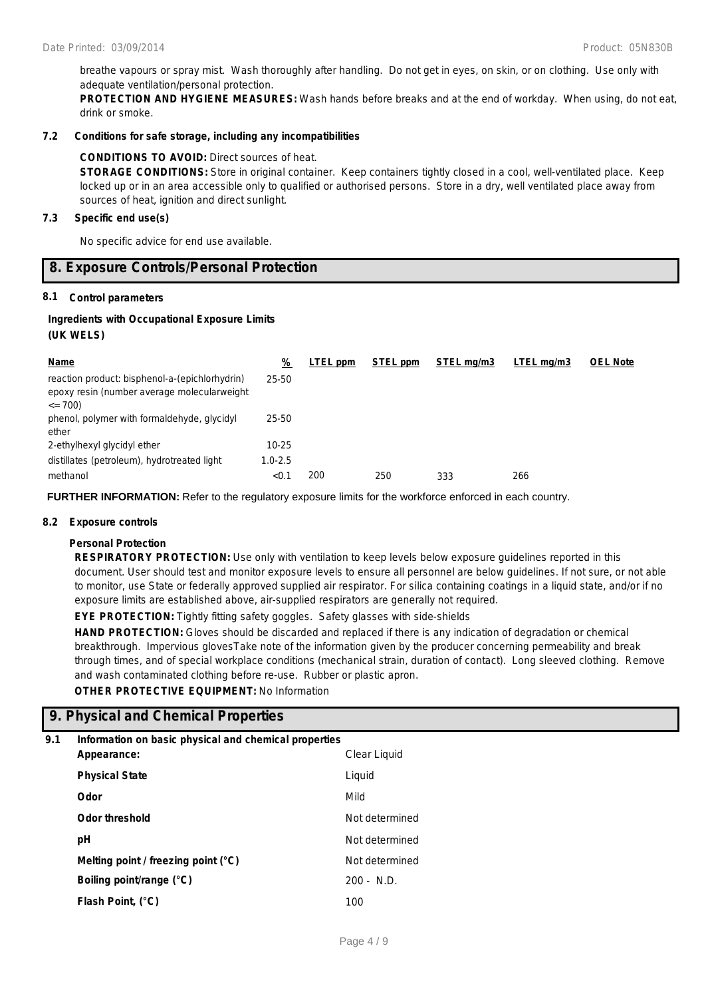breathe vapours or spray mist. Wash thoroughly after handling. Do not get in eyes, on skin, or on clothing. Use only with adequate ventilation/personal protection.

**PROTECTION AND HYGIENE MEASURES:** Wash hands before breaks and at the end of workday. When using, do not eat, drink or smoke.

### **7.2 Conditions for safe storage, including any incompatibilities**

### **CONDITIONS TO AVOID:** Direct sources of heat.

**STORAGE CONDITIONS:** Store in original container. Keep containers tightly closed in a cool, well-ventilated place. Keep locked up or in an area accessible only to qualified or authorised persons. Store in a dry, well ventilated place away from sources of heat, ignition and direct sunlight.

### **7.3 Specific end use(s)**

No specific advice for end use available.

### **8. Exposure Controls/Personal Protection**

### **8.1 Control parameters**

# **Ingredients with Occupational Exposure Limits**

| (UK WELS) |  |
|-----------|--|
|           |  |

| Name                                                                                                         | %           | LTEL ppm | STEL ppm | STEL ma/m3 | LTEL mg/m3 | <b>OEL Note</b> |
|--------------------------------------------------------------------------------------------------------------|-------------|----------|----------|------------|------------|-----------------|
| reaction product: bisphenol-a-(epichlorhydrin)<br>epoxy resin (number average molecularweight<br>$\leq$ 700) | 25-50       |          |          |            |            |                 |
| phenol, polymer with formaldehyde, glycidyl<br>ether                                                         | 25-50       |          |          |            |            |                 |
| 2-ethylhexyl glycidyl ether                                                                                  | $10 - 25$   |          |          |            |            |                 |
| distillates (petroleum), hydrotreated light                                                                  | $1.0 - 2.5$ |          |          |            |            |                 |
| methanol                                                                                                     | < 0.1       | 200      | 250      | 333        | 266        |                 |

**FURTHER INFORMATION:** Refer to the regulatory exposure limits for the workforce enforced in each country.

### **8.2 Exposure controls**

### **Personal Protection**

**RESPIRATORY PROTECTION:** Use only with ventilation to keep levels below exposure guidelines reported in this document. User should test and monitor exposure levels to ensure all personnel are below guidelines. If not sure, or not able to monitor, use State or federally approved supplied air respirator. For silica containing coatings in a liquid state, and/or if no exposure limits are established above, air-supplied respirators are generally not required.

**EYE PROTECTION:** Tightly fitting safety goggles. Safety glasses with side-shields

**HAND PROTECTION:** Gloves should be discarded and replaced if there is any indication of degradation or chemical breakthrough. Impervious glovesTake note of the information given by the producer concerning permeability and break through times, and of special workplace conditions (mechanical strain, duration of contact). Long sleeved clothing. Remove and wash contaminated clothing before re-use. Rubber or plastic apron.

### **OTHER PROTECTIVE EQUIPMENT:** No Information

### **9. Physical and Chemical Properties**

### **9.1 Information on basic physical and chemical properties**

| Appearance:                           | Clear Liquid   |
|---------------------------------------|----------------|
| <b>Physical State</b>                 | Liquid         |
| Odor                                  | Mild           |
| <b>Odor threshold</b>                 | Not determined |
| рH                                    | Not determined |
| Melting point / freezing point $(°C)$ | Not determined |
| Boiling point/range (°C)              | $200 - N.D.$   |
| Flash Point, (°C)                     | 100            |
|                                       |                |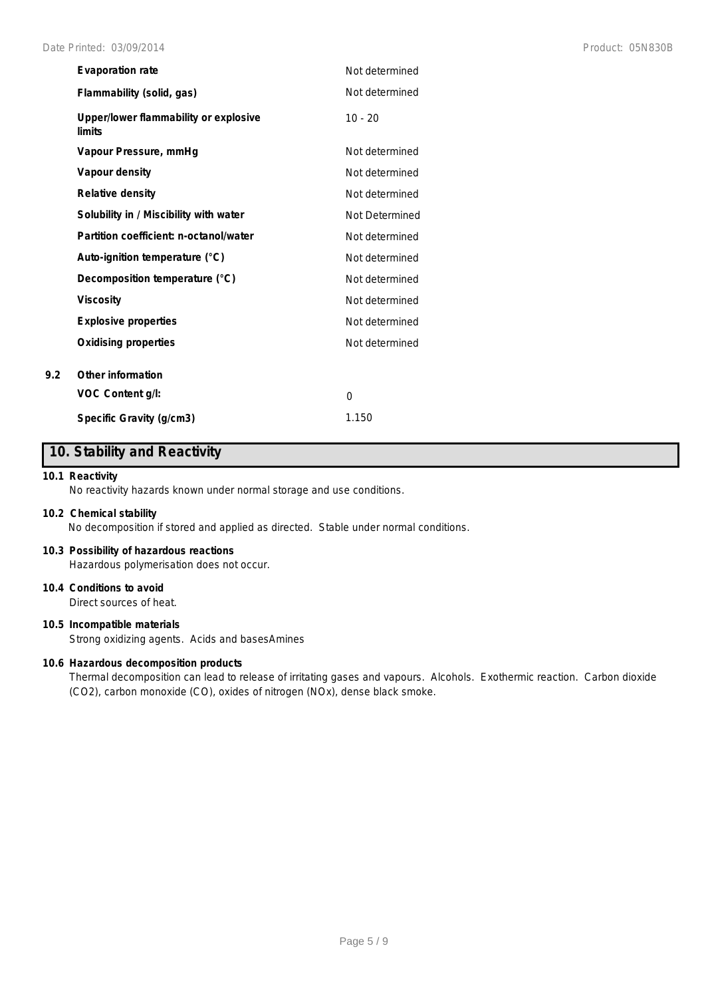| <b>Evaporation rate</b>                         | Not determined |
|-------------------------------------------------|----------------|
| Flammability (solid, gas)                       | Not determined |
| Upper/lower flammability or explosive<br>limits | $10 - 20$      |
| Vapour Pressure, mmHq                           | Not determined |
| Vapour density                                  | Not determined |
| <b>Relative density</b>                         | Not determined |
| Solubility in / Miscibility with water          | Not Determined |
| Partition coefficient: n-octanol/water          | Not determined |
| Auto-ignition temperature (°C)                  | Not determined |
| Decomposition temperature (°C)                  | Not determined |
| <b>Viscosity</b>                                | Not determined |
| <b>Explosive properties</b>                     | Not determined |
| <b>Oxidising properties</b>                     | Not determined |
| Other information                               |                |
| VOC Content g/l:                                | $\Omega$       |
| Specific Gravity (g/cm3)                        | 1.150          |

### **10. Stability and Reactivity**

### **10.1 Reactivity**

**9.2 Other information**

No reactivity hazards known under normal storage and use conditions.

### **10.2 Chemical stability**

No decomposition if stored and applied as directed. Stable under normal conditions.

### **10.3 Possibility of hazardous reactions**

Hazardous polymerisation does not occur.

### **10.4 Conditions to avoid**

Direct sources of heat.

### **10.5 Incompatible materials**

Strong oxidizing agents. Acids and basesAmines

### **10.6 Hazardous decomposition products**

Thermal decomposition can lead to release of irritating gases and vapours. Alcohols. Exothermic reaction. Carbon dioxide (CO2), carbon monoxide (CO), oxides of nitrogen (NOx), dense black smoke.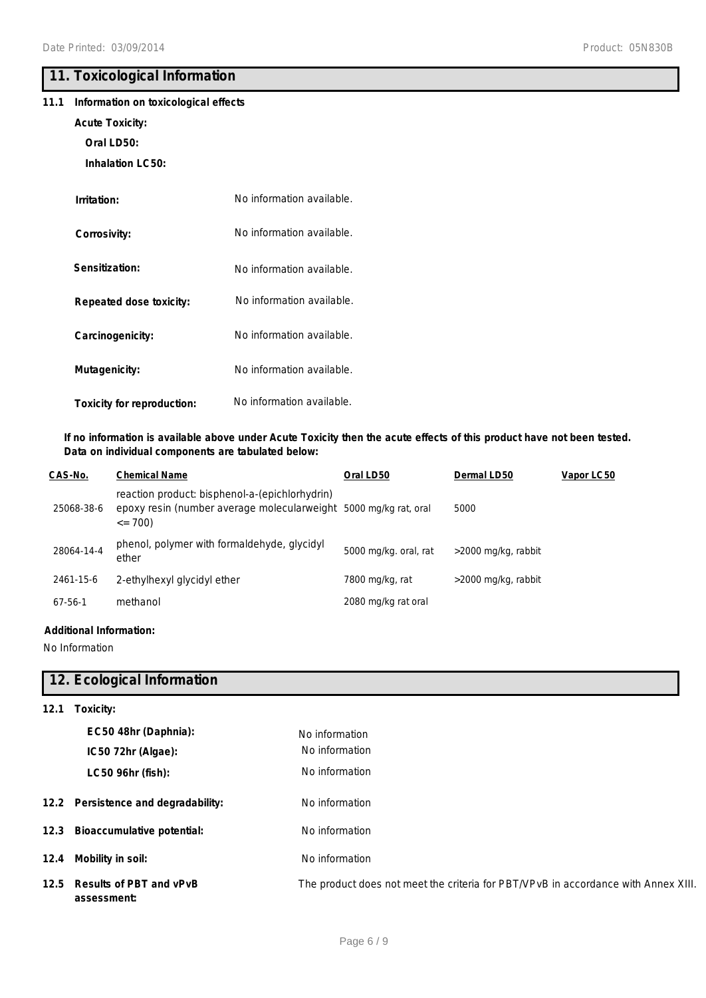### **11. Toxicological Information**

### **11.1 Information on toxicological effects**

### **Acute Toxicity:**

**Oral LD50:**

**Inhalation LC50:**

| Irritation:                    | No information available. |
|--------------------------------|---------------------------|
| Corrosivity:                   | No information available. |
| Sensitization:                 | No information available. |
| <b>Repeated dose toxicity:</b> | No information available. |
| Carcinogenicity:               | No information available. |
| Mutagenicity:                  | No information available. |
| Toxicity for reproduction:     | No information available. |

### **If no information is available above under Acute Toxicity then the acute effects of this product have not been tested. Data on individual components are tabulated below:**

| CAS-No.       | <b>Chemical Name</b>                                                                                                              | Oral LD50             | Dermal LD50         | Vapor LC50 |
|---------------|-----------------------------------------------------------------------------------------------------------------------------------|-----------------------|---------------------|------------|
| 25068-38-6    | reaction product: bisphenol-a-(epichlorhydrin)<br>epoxy resin (number average molecularweight 5000 mg/kg rat, oral<br>$\leq$ 700) |                       | 5000                |            |
| 28064-14-4    | phenol, polymer with formaldehyde, glycidyl<br>ether                                                                              | 5000 mg/kg. oral, rat | >2000 mg/kg, rabbit |            |
| 2461-15-6     | 2-ethylhexyl glycidyl ether                                                                                                       | 7800 mg/kg, rat       | >2000 mg/kg, rabbit |            |
| $67 - 56 - 1$ | methanol                                                                                                                          | 2080 mg/kg rat oral   |                     |            |

### **Additional Information:**

No Information

### **12. Ecological Information**

| 12.1 | Toxicity:                                   |                                                                                    |
|------|---------------------------------------------|------------------------------------------------------------------------------------|
|      | EC50 48hr (Daphnia):                        | No information                                                                     |
|      | IC50 72hr (Algae):                          | No information                                                                     |
|      | LC50 96hr (fish):                           | No information                                                                     |
|      | 12.2 Persistence and degradability:         | No information                                                                     |
|      | 12.3 Bioaccumulative potential:             | No information                                                                     |
| 12.4 | Mobility in soil:                           | No information                                                                     |
|      | 12.5 Results of PBT and vPvB<br>assessment: | The product does not meet the criteria for PBT/VPvB in accordance with Annex XIII. |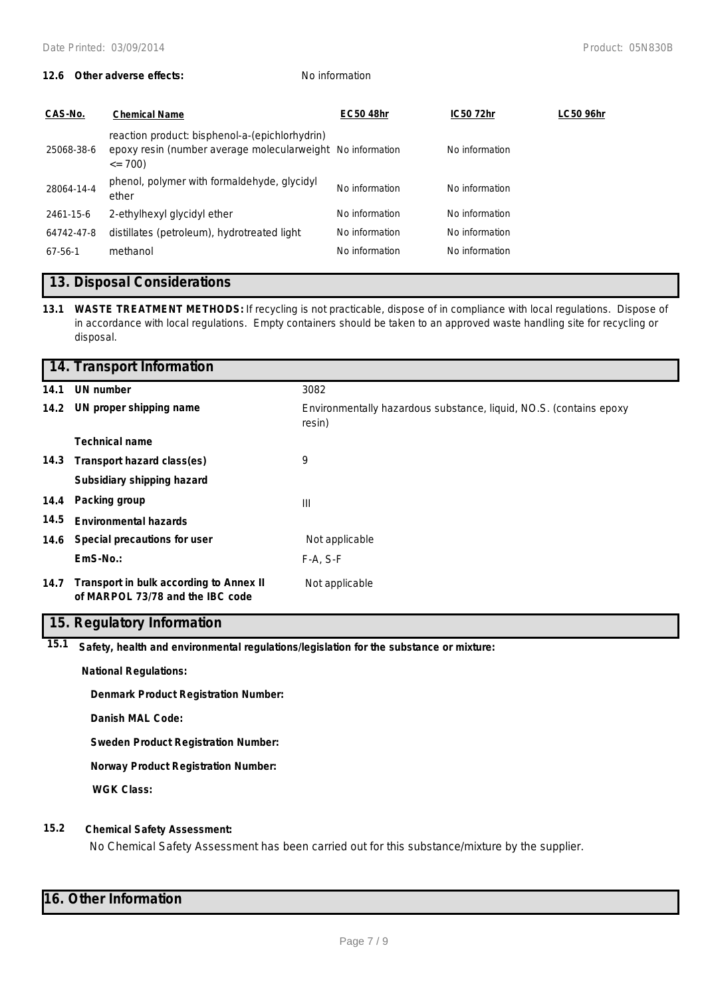### **12.6 Other adverse effects:** No information

| CAS-No.       | <b>Chemical Name</b>                                                                                                        | <b>EC50 48hr</b> | IC50 72hr      | LC50 96hr |
|---------------|-----------------------------------------------------------------------------------------------------------------------------|------------------|----------------|-----------|
| 25068-38-6    | reaction product: bisphenol-a-(epichlorhydrin)<br>epoxy resin (number average molecularweight No information<br>$\leq$ 700) |                  | No information |           |
| 28064-14-4    | phenol, polymer with formaldehyde, glycidyl<br>ether                                                                        | No information   | No information |           |
| 2461-15-6     | 2-ethylhexyl glycidyl ether                                                                                                 | No information   | No information |           |
| 64742-47-8    | distillates (petroleum), hydrotreated light                                                                                 | No information   | No information |           |
| $67 - 56 - 1$ | methanol                                                                                                                    | No information   | No information |           |

### **13. Disposal Considerations**

**13.1 WASTE TREATMENT METHODS:** If recycling is not practicable, dispose of in compliance with local regulations. Dispose of in accordance with local regulations. Empty containers should be taken to an approved waste handling site for recycling or disposal.

|      | 14. Transport Information                                                   |                                                                              |
|------|-----------------------------------------------------------------------------|------------------------------------------------------------------------------|
| 14.1 | UN number                                                                   | 3082                                                                         |
|      | 14.2 UN proper shipping name                                                | Environmentally hazardous substance, liquid, NO.S. (contains epoxy<br>resin) |
|      | <b>Technical name</b>                                                       |                                                                              |
|      | 14.3 Transport hazard class(es)                                             | 9                                                                            |
|      | Subsidiary shipping hazard                                                  |                                                                              |
| 14.4 | Packing group                                                               | Ш                                                                            |
| 14.5 | <b>Environmental hazards</b>                                                |                                                                              |
| 14.6 | Special precautions for user                                                | Not applicable                                                               |
|      | EmS-No.:                                                                    | $F-A, S-F$                                                                   |
| 14.7 | Transport in bulk according to Annex II<br>of MARPOL 73/78 and the IBC code | Not applicable                                                               |

### **15. Regulatory Information**

**15.1 Safety, health and environmental regulations/legislation for the substance or mixture:**

**National Regulations:**

**Denmark Product Registration Number:**

**Danish MAL Code:**

**Sweden Product Registration Number:**

**Norway Product Registration Number:**

**WGK Class:**

### **15.2 Chemical Safety Assessment:**

No Chemical Safety Assessment has been carried out for this substance/mixture by the supplier.

### **16. Other Information**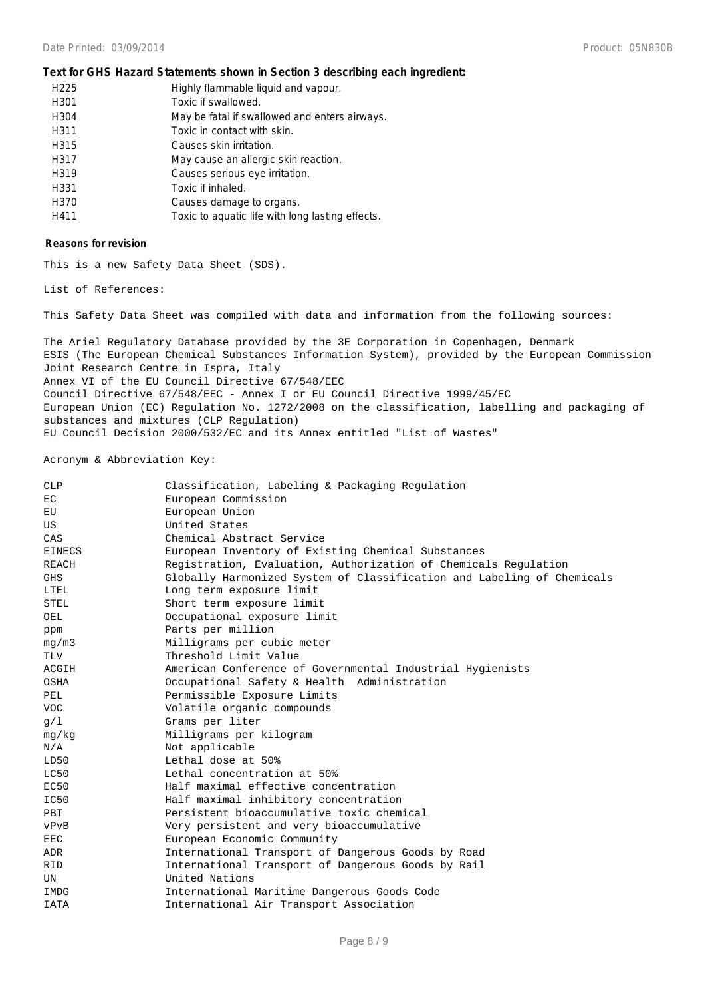### **Text for GHS Hazard Statements shown in Section 3 describing each ingredient:**

| H <sub>225</sub> | Highly flammable liquid and vapour.              |
|------------------|--------------------------------------------------|
| H <sub>301</sub> | Toxic if swallowed.                              |
| H304             | May be fatal if swallowed and enters airways.    |
| H311             | Toxic in contact with skin.                      |
| H315             | Causes skin irritation.                          |
| H317             | May cause an allergic skin reaction.             |
| H319             | Causes serious eye irritation.                   |
| H331             | Toxic if inhaled.                                |
| H370             | Causes damage to organs.                         |
| H411             | Toxic to aquatic life with long lasting effects. |

#### **Reasons for revision**

This is a new Safety Data Sheet (SDS).

List of References:

This Safety Data Sheet was compiled with data and information from the following sources:

The Ariel Regulatory Database provided by the 3E Corporation in Copenhagen, Denmark ESIS (The European Chemical Substances Information System), provided by the European Commission Joint Research Centre in Ispra, Italy Annex VI of the EU Council Directive 67/548/EEC Council Directive 67/548/EEC - Annex I or EU Council Directive 1999/45/EC European Union (EC) Regulation No. 1272/2008 on the classification, labelling and packaging of substances and mixtures (CLP Regulation) EU Council Decision 2000/532/EC and its Annex entitled "List of Wastes"

Acronym & Abbreviation Key:

| <b>CLP</b>   | Classification, Labeling & Packaging Regulation                        |
|--------------|------------------------------------------------------------------------|
| EC           | European Commission                                                    |
| EU           | European Union                                                         |
| US           | United States                                                          |
| CAS          | Chemical Abstract Service                                              |
| EINECS       | European Inventory of Existing Chemical Substances                     |
| <b>REACH</b> | Registration, Evaluation, Authorization of Chemicals Regulation        |
| <b>GHS</b>   | Globally Harmonized System of Classification and Labeling of Chemicals |
| LTEL         | Long term exposure limit                                               |
| <b>STEL</b>  | Short term exposure limit                                              |
| OEL          | Occupational exposure limit                                            |
| ppm          | Parts per million                                                      |
| mq/m3        | Milligrams per cubic meter                                             |
| <b>TLV</b>   | Threshold Limit Value                                                  |
| ACGIH        | American Conference of Governmental Industrial Hygienists              |
| OSHA         | Occupational Safety & Health Administration                            |
| PEL          | Permissible Exposure Limits                                            |
| <b>VOC</b>   | Volatile organic compounds                                             |
| q/1          | Grams per liter                                                        |
| mg/kg        | Milligrams per kilogram                                                |
| N/A          | Not applicable                                                         |
| LD50         | Lethal dose at 50%                                                     |
| LC50         | Lethal concentration at 50%                                            |
| EC50         | Half maximal effective concentration                                   |
| IC50         | Half maximal inhibitory concentration                                  |
| <b>PBT</b>   | Persistent bioaccumulative toxic chemical                              |
| vPvB         | Very persistent and very bioaccumulative                               |
| <b>EEC</b>   | European Economic Community                                            |
| <b>ADR</b>   | International Transport of Dangerous Goods by Road                     |
| <b>RID</b>   | International Transport of Dangerous Goods by Rail                     |
| UN           | United Nations                                                         |
| IMDG         | International Maritime Dangerous Goods Code                            |
| <b>IATA</b>  | International Air Transport Association                                |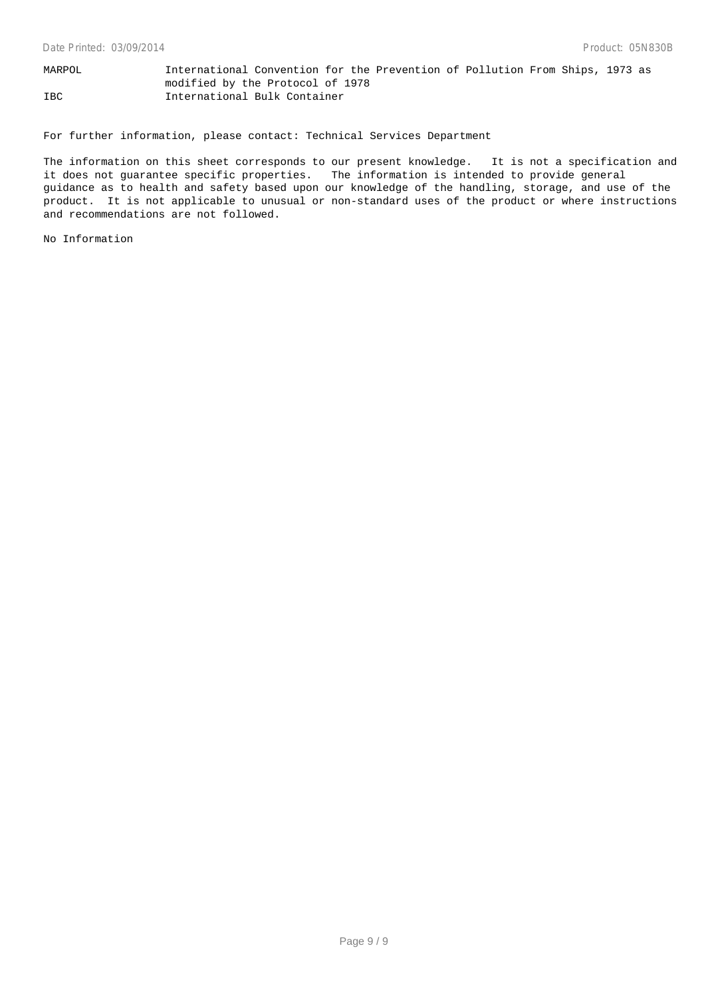MARPOL International Convention for the Prevention of Pollution From Ships, 1973 as modified by the Protocol of 1978 IBC International Bulk Container

For further information, please contact: Technical Services Department

The information on this sheet corresponds to our present knowledge. It is not a specification and it does not guarantee specific properties. The information is intended to provide general guidance as to health and safety based upon our knowledge of the handling, storage, and use of the product. It is not applicable to unusual or non-standard uses of the product or where instructions and recommendations are not followed.

No Information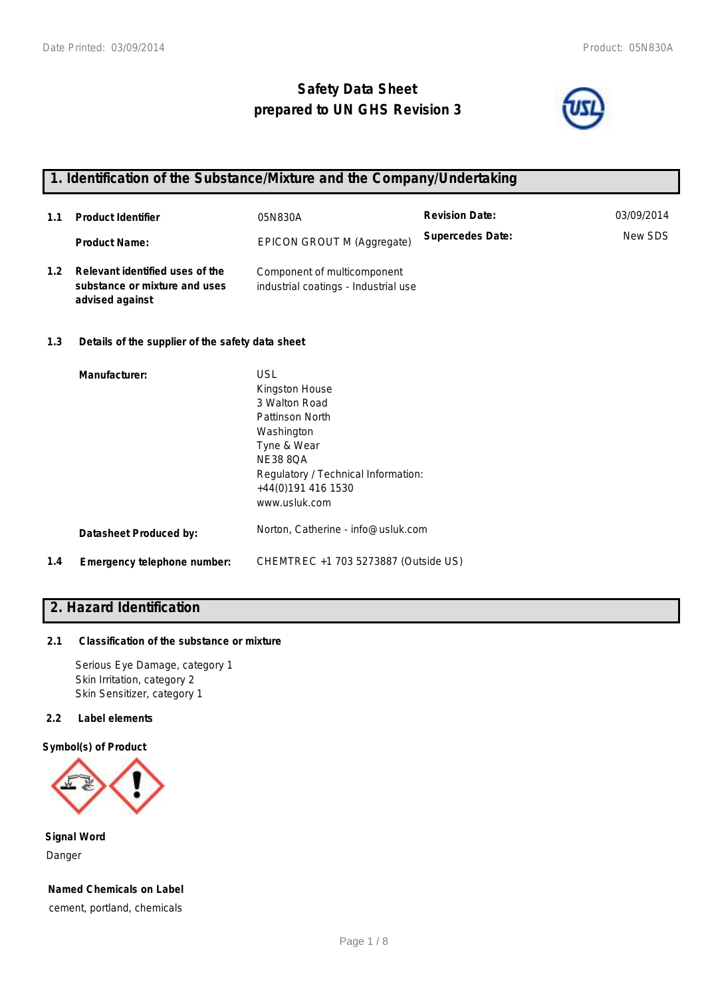# **Safety Data Sheet prepared to UN GHS Revision 3**



## **1. Identification of the Substance/Mixture and the Company/Undertaking**

| 1.1 | <b>Product Identifier</b>                                                           | 05N830A                                                             | <b>Revision Date:</b>   | 03/09/2014 |
|-----|-------------------------------------------------------------------------------------|---------------------------------------------------------------------|-------------------------|------------|
|     | <b>Product Name:</b>                                                                | EPICON GROUT M (Aggregate)                                          | <b>Supercedes Date:</b> | New SDS    |
| 1.2 | Relevant identified uses of the<br>substance or mixture and uses<br>advised against | Component of multicomponent<br>industrial coatings - Industrial use |                         |            |

### **1.3 Details of the supplier of the safety data sheet**

|     | Manufacturer:               | <b>USL</b><br>Kingston House<br>3 Walton Road<br>Pattinson North<br>Washington<br>Tyne & Wear<br><b>NE38 8OA</b><br>Regulatory / Technical Information:<br>+44(0)191 416 1530 |
|-----|-----------------------------|-------------------------------------------------------------------------------------------------------------------------------------------------------------------------------|
|     | Datasheet Produced by:      | www.usluk.com<br>Norton, Catherine - info@usluk.com                                                                                                                           |
| 1.4 | Emergency telephone number: | CHEMTREC +1 703 5273887 (Outside US)                                                                                                                                          |

### **2. Hazard Identification**

### **2.1 Classification of the substance or mixture**

Serious Eye Damage, category 1 Skin Irritation, category 2 Skin Sensitizer, category 1

### **2.2 Label elements**

### **Symbol(s) of Product**



**Signal Word** Danger

**Named Chemicals on Label** cement, portland, chemicals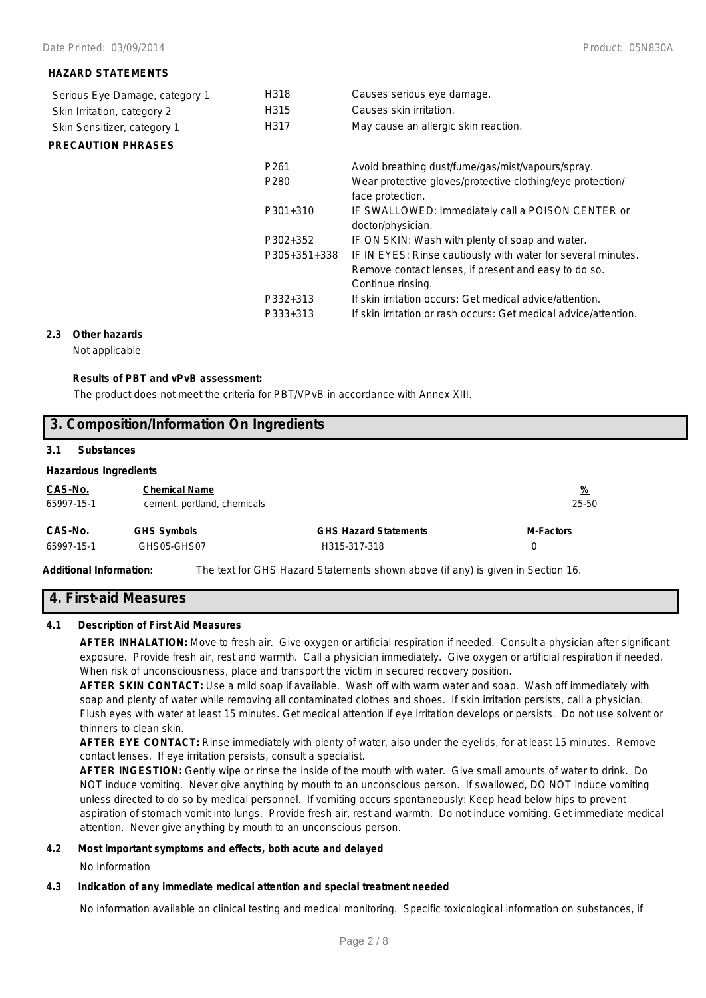### **HAZARD STATEMENTS**

| Serious Eye Damage, category 1 | H318                 | Causes serious eye damage.                                                                                                                |
|--------------------------------|----------------------|-------------------------------------------------------------------------------------------------------------------------------------------|
| Skin Irritation, category 2    | H315                 | Causes skin irritation.                                                                                                                   |
| Skin Sensitizer, category 1    | H317                 | May cause an allergic skin reaction.                                                                                                      |
| <b>PRECAUTION PHRASES</b>      |                      |                                                                                                                                           |
|                                | P <sub>261</sub>     | Avoid breathing dust/fume/gas/mist/vapours/spray.                                                                                         |
|                                | P <sub>280</sub>     | Wear protective gloves/protective clothing/eye protection/<br>face protection.                                                            |
|                                | $P301+310$           | IF SWALLOWED: Immediately call a POISON CENTER or<br>doctor/physician.                                                                    |
|                                | P302+352             | IF ON SKIN: Wash with plenty of soap and water.                                                                                           |
|                                | P305+351+338         | IF IN EYES: Rinse cautiously with water for several minutes.<br>Remove contact lenses, if present and easy to do so.<br>Continue rinsing. |
|                                | P332+313<br>P333+313 | If skin irritation occurs: Get medical advice/attention.<br>If skin irritation or rash occurs: Get medical advice/attention.              |

### **2.3 Other hazards**

Not applicable

#### **Results of PBT and vPvB assessment:**

The product does not meet the criteria for PBT/VPvB in accordance with Annex XIII.

| 3. Composition/Information On Ingredients |                                  |                              |                  |  |  |
|-------------------------------------------|----------------------------------|------------------------------|------------------|--|--|
| 3.1<br><b>Substances</b>                  |                                  |                              |                  |  |  |
| <b>Hazardous Ingredients</b>              |                                  |                              |                  |  |  |
| CAS-No.                                   | <u>%</u><br><b>Chemical Name</b> |                              |                  |  |  |
| 65997-15-1                                | cement, portland, chemicals      |                              | 25-50            |  |  |
| CAS-No.                                   | <b>GHS Symbols</b>               | <b>GHS Hazard Statements</b> | <b>M-Factors</b> |  |  |
| 65997-15-1                                | GHS05-GHS07                      | H315-317-318                 | 0                |  |  |

**Additional Information:** The text for GHS Hazard Statements shown above (if any) is given in Section 16.

### **4. First-aid Measures**

### **4.1 Description of First Aid Measures**

**AFTER INHALATION:** Move to fresh air. Give oxygen or artificial respiration if needed. Consult a physician after significant exposure. Provide fresh air, rest and warmth. Call a physician immediately. Give oxygen or artificial respiration if needed. When risk of unconsciousness, place and transport the victim in secured recovery position.

**AFTER SKIN CONTACT:** Use a mild soap if available. Wash off with warm water and soap. Wash off immediately with soap and plenty of water while removing all contaminated clothes and shoes. If skin irritation persists, call a physician. Flush eyes with water at least 15 minutes. Get medical attention if eye irritation develops or persists. Do not use solvent or thinners to clean skin.

**AFTER EYE CONTACT:** Rinse immediately with plenty of water, also under the eyelids, for at least 15 minutes. Remove contact lenses. If eye irritation persists, consult a specialist.

**AFTER INGESTION:** Gently wipe or rinse the inside of the mouth with water. Give small amounts of water to drink. Do NOT induce vomiting. Never give anything by mouth to an unconscious person. If swallowed, DO NOT induce vomiting unless directed to do so by medical personnel. If vomiting occurs spontaneously: Keep head below hips to prevent aspiration of stomach vomit into lungs. Provide fresh air, rest and warmth. Do not induce vomiting. Get immediate medical attention. Never give anything by mouth to an unconscious person.

### **4.2 Most important symptoms and effects, both acute and delayed**

No Information

### **4.3 Indication of any immediate medical attention and special treatment needed**

No information available on clinical testing and medical monitoring. Specific toxicological information on substances, if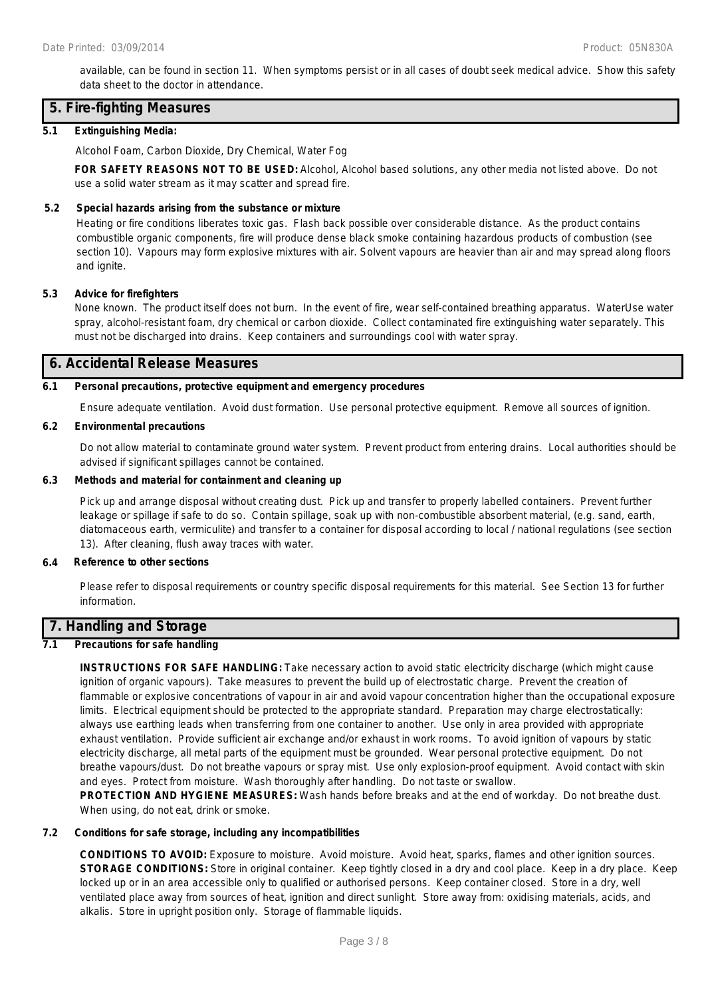available, can be found in section 11. When symptoms persist or in all cases of doubt seek medical advice. Show this safety data sheet to the doctor in attendance.

### **5. Fire-fighting Measures**

### **5.1 Extinguishing Media:**

Alcohol Foam, Carbon Dioxide, Dry Chemical, Water Fog

**FOR SAFETY REASONS NOT TO BE USED:** Alcohol, Alcohol based solutions, any other media not listed above. Do not use a solid water stream as it may scatter and spread fire.

### **5.2 Special hazards arising from the substance or mixture**

Heating or fire conditions liberates toxic gas. Flash back possible over considerable distance. As the product contains combustible organic components, fire will produce dense black smoke containing hazardous products of combustion (see section 10). Vapours may form explosive mixtures with air. Solvent vapours are heavier than air and may spread along floors and ignite.

### **5.3 Advice for firefighters**

None known. The product itself does not burn. In the event of fire, wear self-contained breathing apparatus. WaterUse water spray, alcohol-resistant foam, dry chemical or carbon dioxide. Collect contaminated fire extinguishing water separately. This must not be discharged into drains. Keep containers and surroundings cool with water spray.

### **6. Accidental Release Measures**

### **6.1 Personal precautions, protective equipment and emergency procedures**

Ensure adequate ventilation. Avoid dust formation. Use personal protective equipment. Remove all sources of ignition.

### **6.2 Environmental precautions**

Do not allow material to contaminate ground water system. Prevent product from entering drains. Local authorities should be advised if significant spillages cannot be contained.

### **6.3 Methods and material for containment and cleaning up**

Pick up and arrange disposal without creating dust. Pick up and transfer to properly labelled containers. Prevent further leakage or spillage if safe to do so. Contain spillage, soak up with non-combustible absorbent material, (e.g. sand, earth, diatomaceous earth, vermiculite) and transfer to a container for disposal according to local / national regulations (see section 13). After cleaning, flush away traces with water.

### **6.4 Reference to other sections**

Please refer to disposal requirements or country specific disposal requirements for this material. See Section 13 for further information.

### **7. Handling and Storage**

### **7.1 Precautions for safe handling**

**INSTRUCTIONS FOR SAFE HANDLING:** Take necessary action to avoid static electricity discharge (which might cause ignition of organic vapours). Take measures to prevent the build up of electrostatic charge. Prevent the creation of flammable or explosive concentrations of vapour in air and avoid vapour concentration higher than the occupational exposure limits. Electrical equipment should be protected to the appropriate standard. Preparation may charge electrostatically: always use earthing leads when transferring from one container to another. Use only in area provided with appropriate exhaust ventilation. Provide sufficient air exchange and/or exhaust in work rooms. To avoid ignition of vapours by static electricity discharge, all metal parts of the equipment must be grounded. Wear personal protective equipment. Do not breathe vapours/dust. Do not breathe vapours or spray mist. Use only explosion-proof equipment. Avoid contact with skin and eyes. Protect from moisture. Wash thoroughly after handling. Do not taste or swallow.

**PROTECTION AND HYGIENE MEASURES:** Wash hands before breaks and at the end of workday. Do not breathe dust. When using, do not eat, drink or smoke.

### **7.2 Conditions for safe storage, including any incompatibilities**

**CONDITIONS TO AVOID:** Exposure to moisture. Avoid moisture. Avoid heat, sparks, flames and other ignition sources. **STORAGE CONDITIONS:** Store in original container. Keep tightly closed in a dry and cool place. Keep in a dry place. Keep locked up or in an area accessible only to qualified or authorised persons. Keep container closed. Store in a dry, well ventilated place away from sources of heat, ignition and direct sunlight. Store away from: oxidising materials, acids, and alkalis. Store in upright position only. Storage of flammable liquids.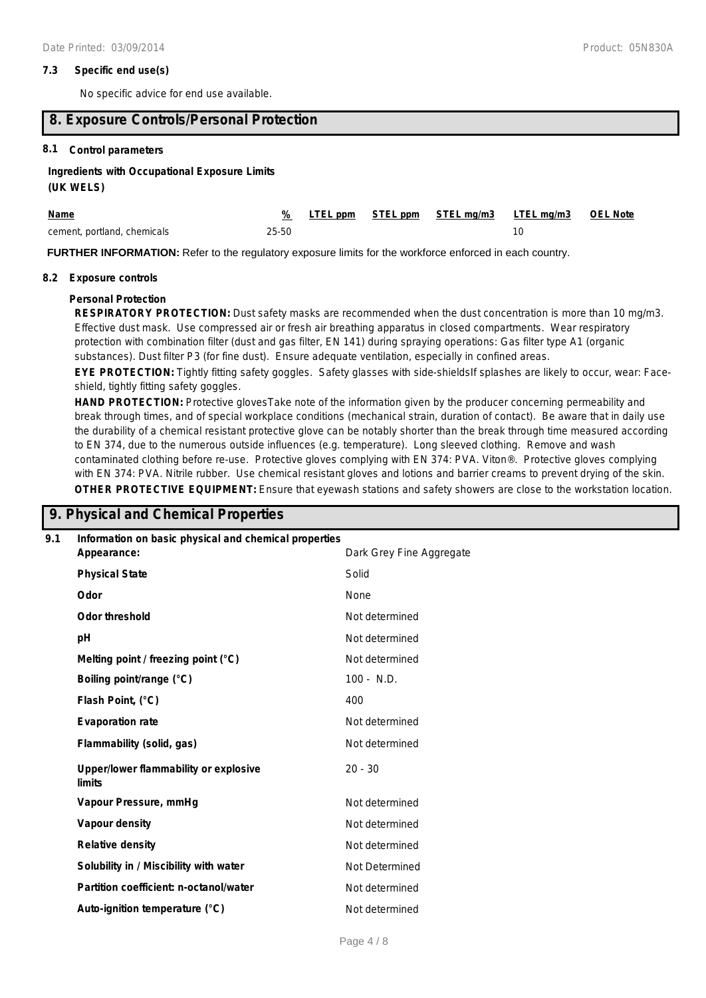### **7.3 Specific end use(s)**

No specific advice for end use available.

### **8. Exposure Controls/Personal Protection**

### **8.1 Control parameters**

### **Ingredients with Occupational Exposure Limits**

### **(UK WELS)**

| Name                        |       |  | % LTEL ppm STEL ppm STEL mg/m3 LTEL mg/m3 OEL Note |  |
|-----------------------------|-------|--|----------------------------------------------------|--|
| cement, portland, chemicals | 25-50 |  |                                                    |  |

**FURTHER INFORMATION:** Refer to the regulatory exposure limits for the workforce enforced in each country.

### **8.2 Exposure controls**

#### **Personal Protection**

**RESPIRATORY PROTECTION:** Dust safety masks are recommended when the dust concentration is more than 10 mg/m3. Effective dust mask. Use compressed air or fresh air breathing apparatus in closed compartments. Wear respiratory protection with combination filter (dust and gas filter, EN 141) during spraying operations: Gas filter type A1 (organic substances). Dust filter P3 (for fine dust). Ensure adequate ventilation, especially in confined areas.

**EYE PROTECTION:** Tightly fitting safety goggles. Safety glasses with side-shieldsIf splashes are likely to occur, wear: Faceshield, tightly fitting safety goggles.

**HAND PROTECTION:** Protective glovesTake note of the information given by the producer concerning permeability and break through times, and of special workplace conditions (mechanical strain, duration of contact). Be aware that in daily use the durability of a chemical resistant protective glove can be notably shorter than the break through time measured according to EN 374, due to the numerous outside influences (e.g. temperature). Long sleeved clothing. Remove and wash contaminated clothing before re-use. Protective gloves complying with EN 374: PVA. Viton®. Protective gloves complying with EN 374: PVA. Nitrile rubber. Use chemical resistant gloves and lotions and barrier creams to prevent drying of the skin. **OTHER PROTECTIVE EQUIPMENT:** Ensure that eyewash stations and safety showers are close to the workstation location.

### **9. Physical and Chemical Properties**

| 9.1 | Information on basic physical and chemical properties |                          |  |  |
|-----|-------------------------------------------------------|--------------------------|--|--|
|     | Appearance:                                           | Dark Grey Fine Aggregate |  |  |
|     | <b>Physical State</b>                                 | Solid                    |  |  |
|     | Odor                                                  | None                     |  |  |
|     | <b>Odor threshold</b>                                 | Not determined           |  |  |
|     | pH                                                    | Not determined           |  |  |
|     | Melting point / freezing point (°C)                   | Not determined           |  |  |
|     | Boiling point/range (°C)                              | $100 - N.D.$             |  |  |
|     | Flash Point, (°C)                                     | 400                      |  |  |
|     | <b>Evaporation rate</b>                               | Not determined           |  |  |
|     | Flammability (solid, gas)                             | Not determined           |  |  |
|     | Upper/lower flammability or explosive<br>limits       | $20 - 30$                |  |  |
|     | Vapour Pressure, mmHg                                 | Not determined           |  |  |
|     | Vapour density                                        | Not determined           |  |  |
|     | <b>Relative density</b>                               | Not determined           |  |  |
|     | Solubility in / Miscibility with water                | Not Determined           |  |  |
|     | Partition coefficient: n-octanol/water                | Not determined           |  |  |
|     | Auto-ignition temperature (°C)                        | Not determined           |  |  |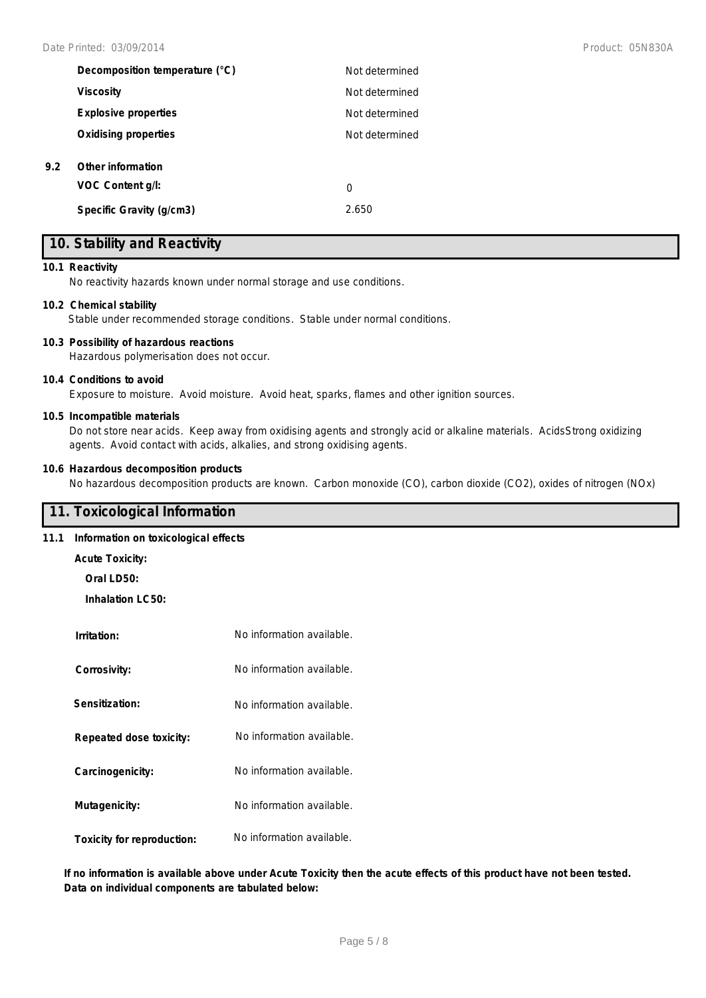| Decomposition temperature (°C) | Not determined |
|--------------------------------|----------------|
| <b>Viscosity</b>               | Not determined |
| <b>Explosive properties</b>    | Not determined |
| <b>Oxidising properties</b>    | Not determined |
| Other information              |                |
| VOC Content q/l:               | 0              |
| Specific Gravity (g/cm3)       | 2.650          |

### **10. Stability and Reactivity**

### **10.1 Reactivity**

**9.2 Other information**

No reactivity hazards known under normal storage and use conditions.

### **10.2 Chemical stability**

Stable under recommended storage conditions. Stable under normal conditions.

### **10.3 Possibility of hazardous reactions**

Hazardous polymerisation does not occur.

#### **10.4 Conditions to avoid**

Exposure to moisture. Avoid moisture. Avoid heat, sparks, flames and other ignition sources.

### **10.5 Incompatible materials**

Do not store near acids. Keep away from oxidising agents and strongly acid or alkaline materials. AcidsStrong oxidizing agents. Avoid contact with acids, alkalies, and strong oxidising agents.

### **10.6 Hazardous decomposition products**

No hazardous decomposition products are known. Carbon monoxide (CO), carbon dioxide (CO2), oxides of nitrogen (NOx)

### **11. Toxicological Information**

### **11.1 Information on toxicological effects**

- **Acute Toxicity:**
	- **Oral LD50:**

**Inhalation LC50:**

| Irritation:                | No information available. |
|----------------------------|---------------------------|
| Corrosivity:               | No information available. |
| Sensitization:             | No information available. |
| Repeated dose toxicity:    | No information available. |
| Carcinogenicity:           | No information available. |
| Mutagenicity:              | No information available. |
| Toxicity for reproduction: | No information available. |

**If no information is available above under Acute Toxicity then the acute effects of this product have not been tested. Data on individual components are tabulated below:**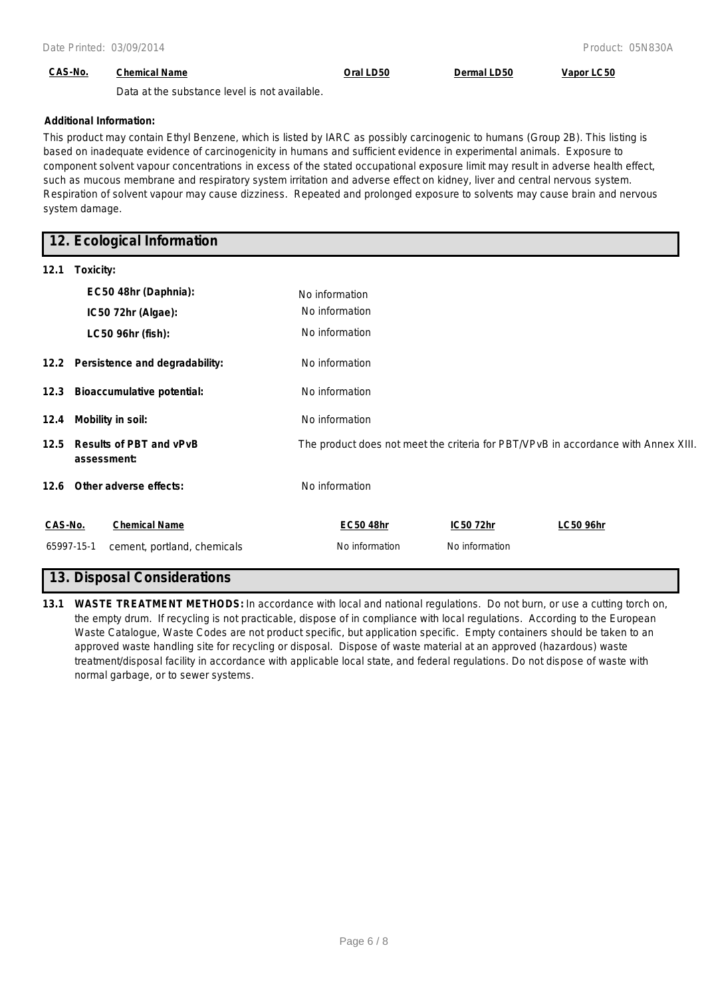### **CAS-No. Chemical Name Oral LD50 Dermal LD50 Vapor LC50**

Data at the substance level is not available.

### **Additional Information:**

This product may contain Ethyl Benzene, which is listed by IARC as possibly carcinogenic to humans (Group 2B). This listing is based on inadequate evidence of carcinogenicity in humans and sufficient evidence in experimental animals. Exposure to component solvent vapour concentrations in excess of the stated occupational exposure limit may result in adverse health effect, such as mucous membrane and respiratory system irritation and adverse effect on kidney, liver and central nervous system. Respiration of solvent vapour may cause dizziness. Repeated and prolonged exposure to solvents may cause brain and nervous system damage.

### **12. Ecological Information**

| 12.1    | Toxicity:                                     |                  |                |                                                                                    |
|---------|-----------------------------------------------|------------------|----------------|------------------------------------------------------------------------------------|
|         | EC50 48hr (Daphnia):                          | No information   |                |                                                                                    |
|         | IC50 72hr (Algae):                            | No information   |                |                                                                                    |
|         | LC50 96hr (fish):                             | No information   |                |                                                                                    |
|         | 12.2 Persistence and degradability:           | No information   |                |                                                                                    |
| 12.3    | <b>Bioaccumulative potential:</b>             | No information   |                |                                                                                    |
|         | 12.4 Mobility in soil:                        | No information   |                |                                                                                    |
| 12.5    | <b>Results of PBT and vPvB</b><br>assessment: |                  |                | The product does not meet the criteria for PBT/VPvB in accordance with Annex XIII. |
|         | 12.6 Other adverse effects:                   | No information   |                |                                                                                    |
| CAS-No. | <b>Chemical Name</b>                          | <b>EC50 48hr</b> | IC50 72hr      | <b>LC50 96hr</b>                                                                   |
|         | 65997-15-1<br>cement, portland, chemicals     | No information   | No information |                                                                                    |

### **13. Disposal Considerations**

**13.1 WASTE TREATMENT METHODS:** In accordance with local and national regulations. Do not burn, or use a cutting torch on, the empty drum. If recycling is not practicable, dispose of in compliance with local regulations. According to the European Waste Catalogue, Waste Codes are not product specific, but application specific. Empty containers should be taken to an approved waste handling site for recycling or disposal. Dispose of waste material at an approved (hazardous) waste treatment/disposal facility in accordance with applicable local state, and federal regulations. Do not dispose of waste with normal garbage, or to sewer systems.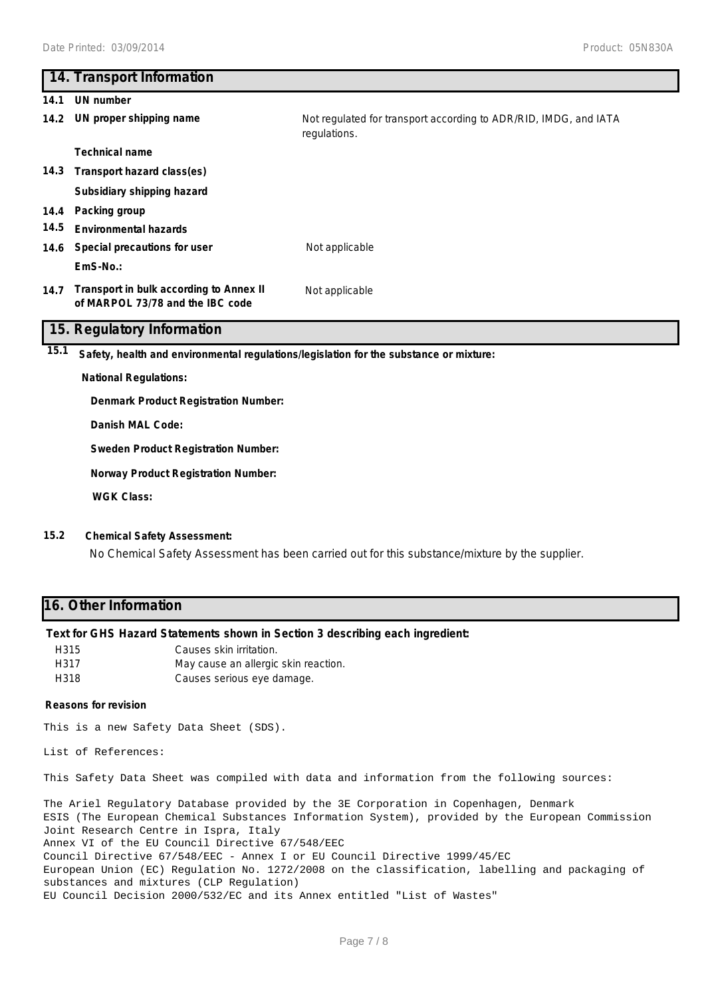# **14. Transport Information 14.1 UN number 14.2 UN proper shipping name** Not regulated for transport according to ADR/RID, IMDG, and IATA regulations. **Technical name 14.3 Transport hazard class(es) Subsidiary shipping hazard 14.4 Packing group 14.5 Environmental hazards 14.6 Special precautions for user** Not applicable **EmS-No.: Transport in bulk according to Annex II 14.7** Not applicable **of MARPOL 73/78 and the IBC code 15. Regulatory Information 15.1 Safety, health and environmental regulations/legislation for the substance or mixture: National Regulations: Denmark Product Registration Number: Danish MAL Code: Sweden Product Registration Number:**

**Norway Product Registration Number:**

**WGK Class:**

### **15.2 Chemical Safety Assessment:**

No Chemical Safety Assessment has been carried out for this substance/mixture by the supplier.

### **16. Other Information**

### **Text for GHS Hazard Statements shown in Section 3 describing each ingredient:**

| H315 | Causes skin irritation.              |
|------|--------------------------------------|
| H317 | May cause an allergic skin reaction. |
| H318 | Causes serious eye damage.           |

#### **Reasons for revision**

This is a new Safety Data Sheet (SDS).

List of References:

This Safety Data Sheet was compiled with data and information from the following sources:

The Ariel Regulatory Database provided by the 3E Corporation in Copenhagen, Denmark ESIS (The European Chemical Substances Information System), provided by the European Commission Joint Research Centre in Ispra, Italy Annex VI of the EU Council Directive 67/548/EEC Council Directive 67/548/EEC - Annex I or EU Council Directive 1999/45/EC European Union (EC) Regulation No. 1272/2008 on the classification, labelling and packaging of substances and mixtures (CLP Regulation) EU Council Decision 2000/532/EC and its Annex entitled "List of Wastes"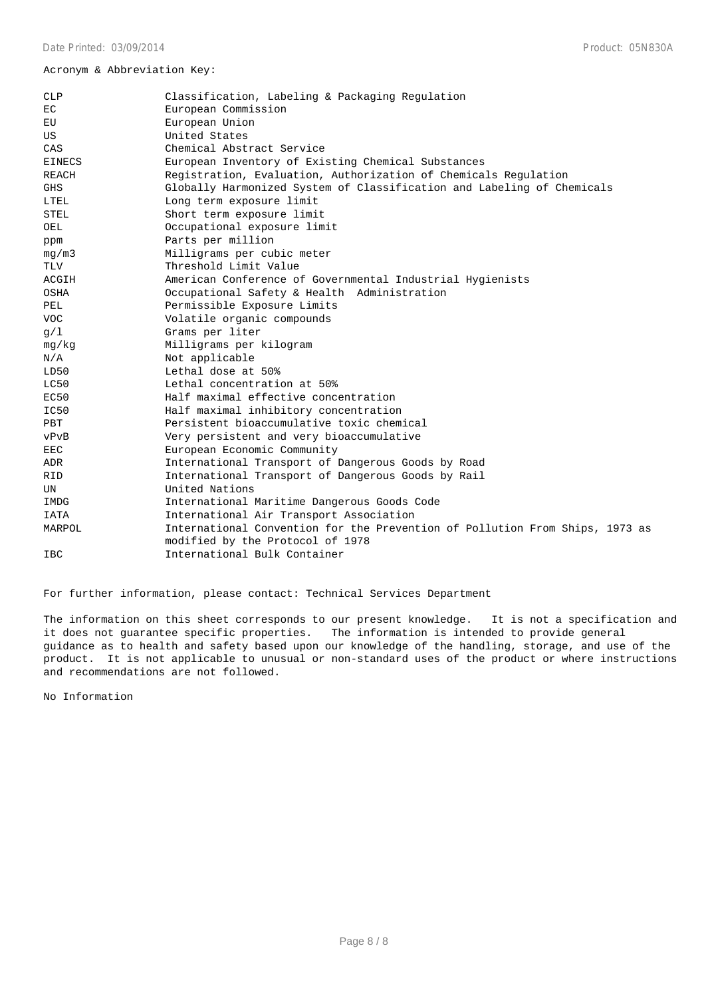### Acronym & Abbreviation Key:

| <b>CLP</b>    | Classification, Labeling & Packaging Regulation                                                                  |  |  |
|---------------|------------------------------------------------------------------------------------------------------------------|--|--|
| ЕC            | European Commission                                                                                              |  |  |
| EU            | European Union                                                                                                   |  |  |
| US            | United States                                                                                                    |  |  |
| CAS           | Chemical Abstract Service                                                                                        |  |  |
| <b>EINECS</b> | European Inventory of Existing Chemical Substances                                                               |  |  |
| <b>REACH</b>  | Registration, Evaluation, Authorization of Chemicals Regulation                                                  |  |  |
| <b>GHS</b>    | Globally Harmonized System of Classification and Labeling of Chemicals                                           |  |  |
| LTEL          | Long term exposure limit                                                                                         |  |  |
| STEL          | Short term exposure limit                                                                                        |  |  |
| OEL           | Occupational exposure limit                                                                                      |  |  |
| ppm           | Parts per million                                                                                                |  |  |
| mq/m3         | Milligrams per cubic meter                                                                                       |  |  |
| TLV           | Threshold Limit Value                                                                                            |  |  |
| ACGIH         | American Conference of Governmental Industrial Hygienists                                                        |  |  |
| OSHA          | Occupational Safety & Health Administration                                                                      |  |  |
| PEL           | Permissible Exposure Limits                                                                                      |  |  |
| VOC.          | Volatile organic compounds                                                                                       |  |  |
| q/1           | Grams per liter                                                                                                  |  |  |
| mq/kg         | Milligrams per kilogram                                                                                          |  |  |
| N/A           | Not applicable                                                                                                   |  |  |
| LD50          | Lethal dose at 50%                                                                                               |  |  |
| LC50          | Lethal concentration at 50%                                                                                      |  |  |
| EC50          | Half maximal effective concentration                                                                             |  |  |
| IC50          | Half maximal inhibitory concentration                                                                            |  |  |
| PBT           | Persistent bioaccumulative toxic chemical                                                                        |  |  |
| vPvB          | Very persistent and very bioaccumulative                                                                         |  |  |
| EEC           | European Economic Community                                                                                      |  |  |
| ADR           | International Transport of Dangerous Goods by Road                                                               |  |  |
| RID           | International Transport of Dangerous Goods by Rail                                                               |  |  |
| UN            | United Nations                                                                                                   |  |  |
| IMDG          | International Maritime Dangerous Goods Code                                                                      |  |  |
| IATA          | International Air Transport Association                                                                          |  |  |
| MARPOL        | International Convention for the Prevention of Pollution From Ships, 1973 as<br>modified by the Protocol of 1978 |  |  |
| <b>IBC</b>    | International Bulk Container                                                                                     |  |  |
|               |                                                                                                                  |  |  |

For further information, please contact: Technical Services Department

The information on this sheet corresponds to our present knowledge. It is not a specification and it does not guarantee specific properties. The information is intended to provide general guidance as to health and safety based upon our knowledge of the handling, storage, and use of the product. It is not applicable to unusual or non-standard uses of the product or where instructions and recommendations are not followed.

No Information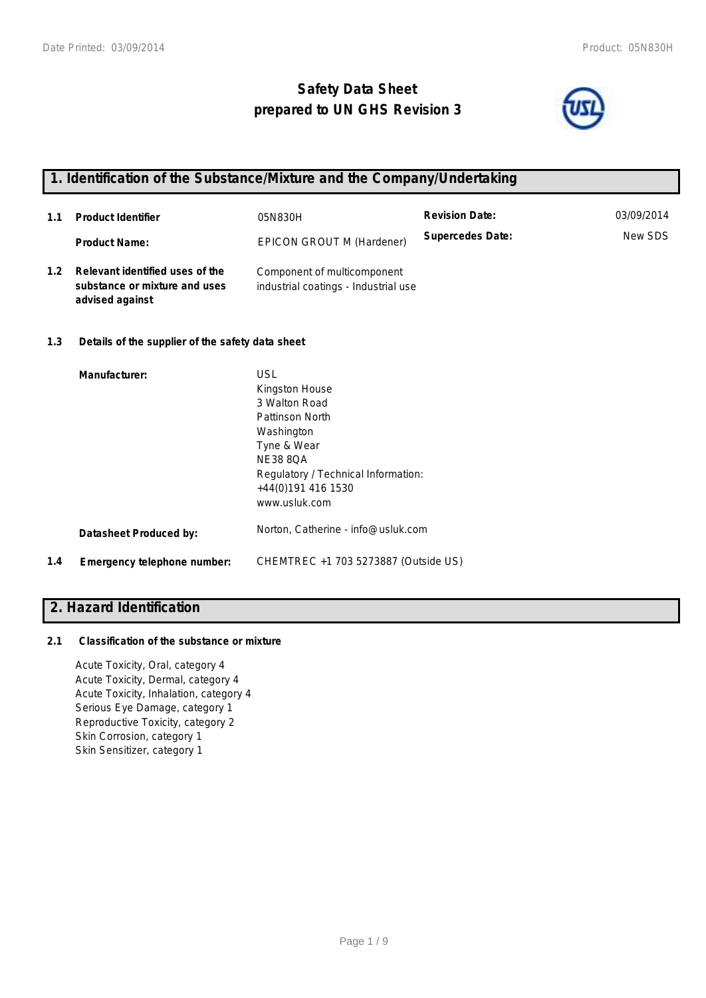# **Safety Data Sheet prepared to UN GHS Revision 3**



## **1. Identification of the Substance/Mixture and the Company/Undertaking**

| 1.1 | <b>Product Identifier</b>                                                           | 05N830H                                                             | <b>Revision Date:</b>   | 03/09/2014 |
|-----|-------------------------------------------------------------------------------------|---------------------------------------------------------------------|-------------------------|------------|
|     | <b>Product Name:</b>                                                                | EPICON GROUT M (Hardener)                                           | <b>Supercedes Date:</b> | New SDS    |
| 1.2 | Relevant identified uses of the<br>substance or mixture and uses<br>advised against | Component of multicomponent<br>industrial coatings - Industrial use |                         |            |
| 1.3 | Details of the supplier of the safety data sheet                                    |                                                                     |                         |            |

|     | Manufacturer:               | <b>USL</b><br>Kingston House<br>3 Walton Road<br>Pattinson North<br>Washington<br>Tyne & Wear<br><b>NE38 8OA</b><br>Regulatory / Technical Information:<br>+44(0)191 416 1530<br>www.usluk.com |
|-----|-----------------------------|------------------------------------------------------------------------------------------------------------------------------------------------------------------------------------------------|
|     | Datasheet Produced by:      | Norton, Catherine - info@usluk.com                                                                                                                                                             |
| 1.4 | Emergency telephone number: | CHEMTREC +1 703 5273887 (Outside US)                                                                                                                                                           |

### **2. Hazard Identification**

### **2.1 Classification of the substance or mixture**

Acute Toxicity, Oral, category 4 Acute Toxicity, Dermal, category 4 Acute Toxicity, Inhalation, category 4 Serious Eye Damage, category 1 Reproductive Toxicity, category 2 Skin Corrosion, category 1 Skin Sensitizer, category 1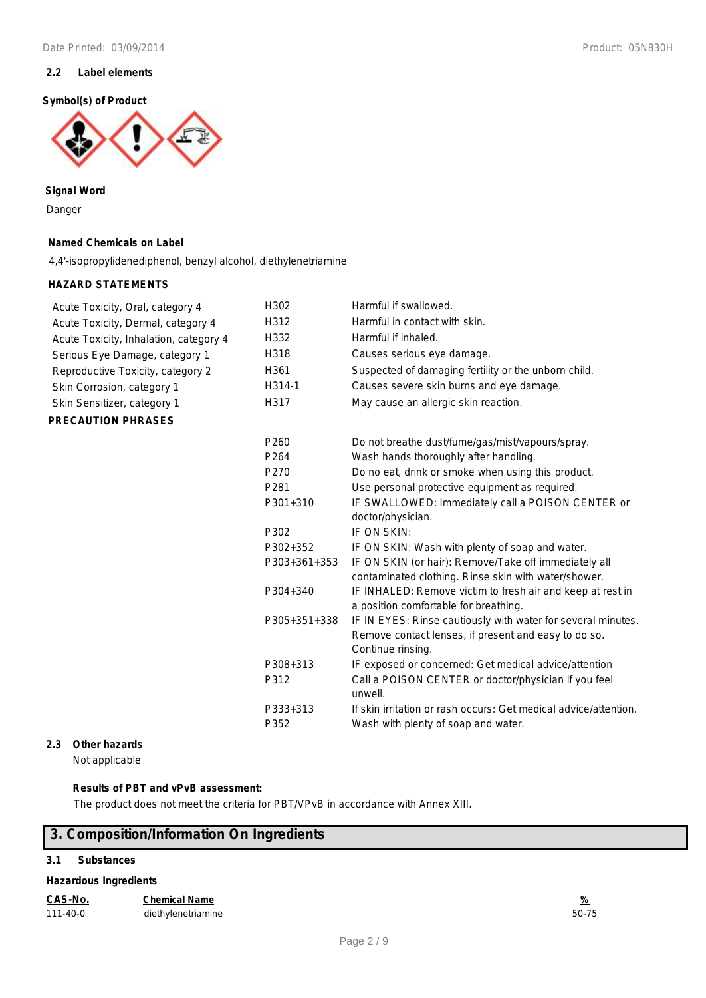### **2.2 Label elements**

### **Symbol(s) of Product**



**Signal Word** Danger

#### **Named Chemicals on Label**

4,4'-isopropylidenediphenol, benzyl alcohol, diethylenetriamine

### **HAZARD STATEMENTS**

| Acute Toxicity, Oral, category 4       | H302             | Harmful if swallowed.                                                                                                                     |
|----------------------------------------|------------------|-------------------------------------------------------------------------------------------------------------------------------------------|
| Acute Toxicity, Dermal, category 4     | H312             | Harmful in contact with skin.                                                                                                             |
| Acute Toxicity, Inhalation, category 4 | H332             | Harmful if inhaled.                                                                                                                       |
| Serious Eye Damage, category 1         | H318             | Causes serious eye damage.                                                                                                                |
| Reproductive Toxicity, category 2      | H361             | Suspected of damaging fertility or the unborn child.                                                                                      |
| Skin Corrosion, category 1             | H314-1           | Causes severe skin burns and eye damage.                                                                                                  |
| Skin Sensitizer, category 1            | H317             | May cause an allergic skin reaction.                                                                                                      |
| <b>PRECAUTION PHRASES</b>              |                  |                                                                                                                                           |
|                                        | P <sub>260</sub> | Do not breathe dust/fume/gas/mist/vapours/spray.                                                                                          |
|                                        | P <sub>264</sub> | Wash hands thoroughly after handling.                                                                                                     |
|                                        | P270             | Do no eat, drink or smoke when using this product.                                                                                        |
|                                        | P281             | Use personal protective equipment as required.                                                                                            |
|                                        | P301+310         | IF SWALLOWED: Immediately call a POISON CENTER or                                                                                         |
|                                        |                  | doctor/physician.                                                                                                                         |
|                                        | P302             | IF ON SKIN:                                                                                                                               |
|                                        | P302+352         | IF ON SKIN: Wash with plenty of soap and water.                                                                                           |
|                                        | P303+361+353     | IF ON SKIN (or hair): Remove/Take off immediately all<br>contaminated clothing. Rinse skin with water/shower.                             |
|                                        | P304+340         | IF INHALED: Remove victim to fresh air and keep at rest in<br>a position comfortable for breathing.                                       |
|                                        | P305+351+338     | IF IN EYES: Rinse cautiously with water for several minutes.<br>Remove contact lenses, if present and easy to do so.<br>Continue rinsing. |
|                                        | P308+313         | IF exposed or concerned: Get medical advice/attention                                                                                     |
|                                        | P312             | Call a POISON CENTER or doctor/physician if you feel                                                                                      |
|                                        |                  | unwell.                                                                                                                                   |
|                                        | P333+313         | If skin irritation or rash occurs: Get medical advice/attention.                                                                          |
|                                        | P352             | Wash with plenty of soap and water.                                                                                                       |

### **2.3 Other hazards**

Not applicable

### **Results of PBT and vPvB assessment:**

The product does not meet the criteria for PBT/VPvB in accordance with Annex XIII.

### **3. Composition/Information On Ingredients**

### **3.1 Substances**

### **Hazardous Ingredients**

| CAS-No.        | <b>Chemical Name</b> | %     |
|----------------|----------------------|-------|
| $111 - 40 - 0$ | diethylenetriamine   | 50-75 |

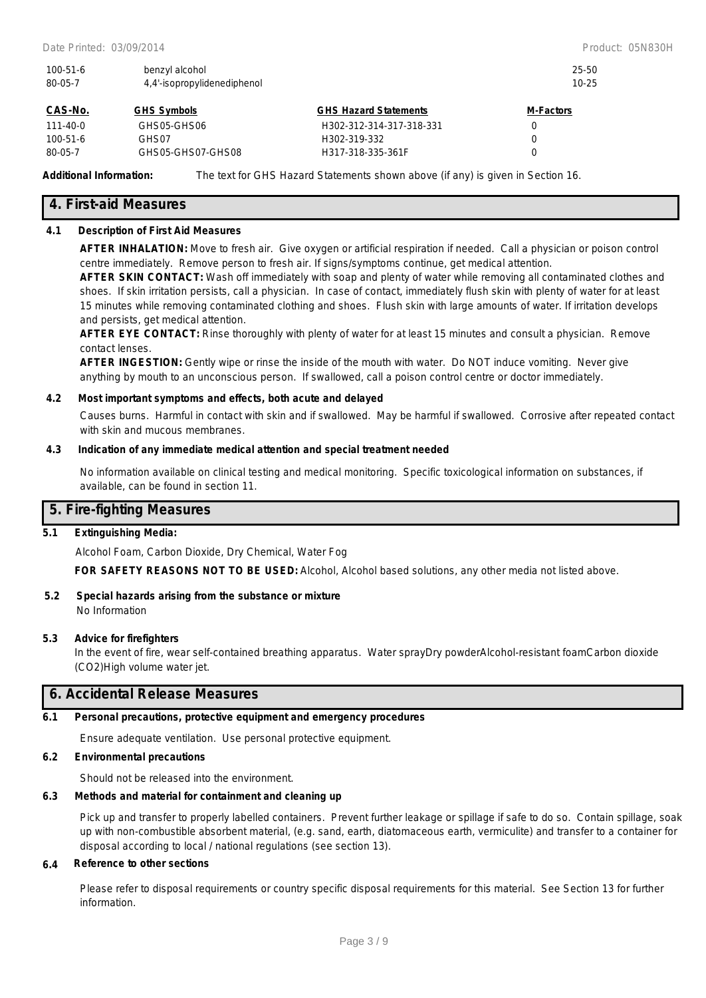| $100 - 51 - 6$<br>benzyl alcohol<br>4.4'-isopropylidenediphenol<br>80-05-7 |                    |                              | 25-50<br>$10 - 25$ |  |
|----------------------------------------------------------------------------|--------------------|------------------------------|--------------------|--|
| CAS-No.                                                                    | <b>GHS Symbols</b> | <b>GHS Hazard Statements</b> | <b>M-Factors</b>   |  |
| 111-40-0                                                                   | GHS05-GHS06        | H302-312-314-317-318-331     | 0                  |  |
| $100 - 51 - 6$                                                             | GHS07              | H302-319-332                 | 0                  |  |

**Additional Information:** The text for GHS Hazard Statements shown above (if any) is given in Section 16.

80-05-7 GHS05-GHS07-GHS08 H317-318-335-361F 0

### **4. First-aid Measures**

### **4.1 Description of First Aid Measures**

**AFTER INHALATION:** Move to fresh air. Give oxygen or artificial respiration if needed. Call a physician or poison control centre immediately. Remove person to fresh air. If signs/symptoms continue, get medical attention.

**AFTER SKIN CONTACT:** Wash off immediately with soap and plenty of water while removing all contaminated clothes and shoes. If skin irritation persists, call a physician. In case of contact, immediately flush skin with plenty of water for at least 15 minutes while removing contaminated clothing and shoes. Flush skin with large amounts of water. If irritation develops and persists, get medical attention.

**AFTER EYE CONTACT:** Rinse thoroughly with plenty of water for at least 15 minutes and consult a physician. Remove contact lenses.

**AFTER INGESTION:** Gently wipe or rinse the inside of the mouth with water. Do NOT induce vomiting. Never give anything by mouth to an unconscious person. If swallowed, call a poison control centre or doctor immediately.

#### **4.2 Most important symptoms and effects, both acute and delayed**

Causes burns. Harmful in contact with skin and if swallowed. May be harmful if swallowed. Corrosive after repeated contact with skin and mucous membranes.

### **4.3 Indication of any immediate medical attention and special treatment needed**

No information available on clinical testing and medical monitoring. Specific toxicological information on substances, if available, can be found in section 11.

### **5. Fire-fighting Measures**

### **5.1 Extinguishing Media:**

Alcohol Foam, Carbon Dioxide, Dry Chemical, Water Fog

**FOR SAFETY REASONS NOT TO BE USED:** Alcohol, Alcohol based solutions, any other media not listed above.

### **5.2 Special hazards arising from the substance or mixture** No Information

### **5.3 Advice for firefighters**

In the event of fire, wear self-contained breathing apparatus. Water sprayDry powderAlcohol-resistant foamCarbon dioxide (CO2)High volume water jet.

### **6. Accidental Release Measures**

#### **6.1 Personal precautions, protective equipment and emergency procedures**

Ensure adequate ventilation. Use personal protective equipment.

### **6.2 Environmental precautions**

Should not be released into the environment.

### **6.3 Methods and material for containment and cleaning up**

Pick up and transfer to properly labelled containers. Prevent further leakage or spillage if safe to do so. Contain spillage, soak up with non-combustible absorbent material, (e.g. sand, earth, diatomaceous earth, vermiculite) and transfer to a container for disposal according to local / national regulations (see section 13).

### **6.4 Reference to other sections**

Please refer to disposal requirements or country specific disposal requirements for this material. See Section 13 for further information.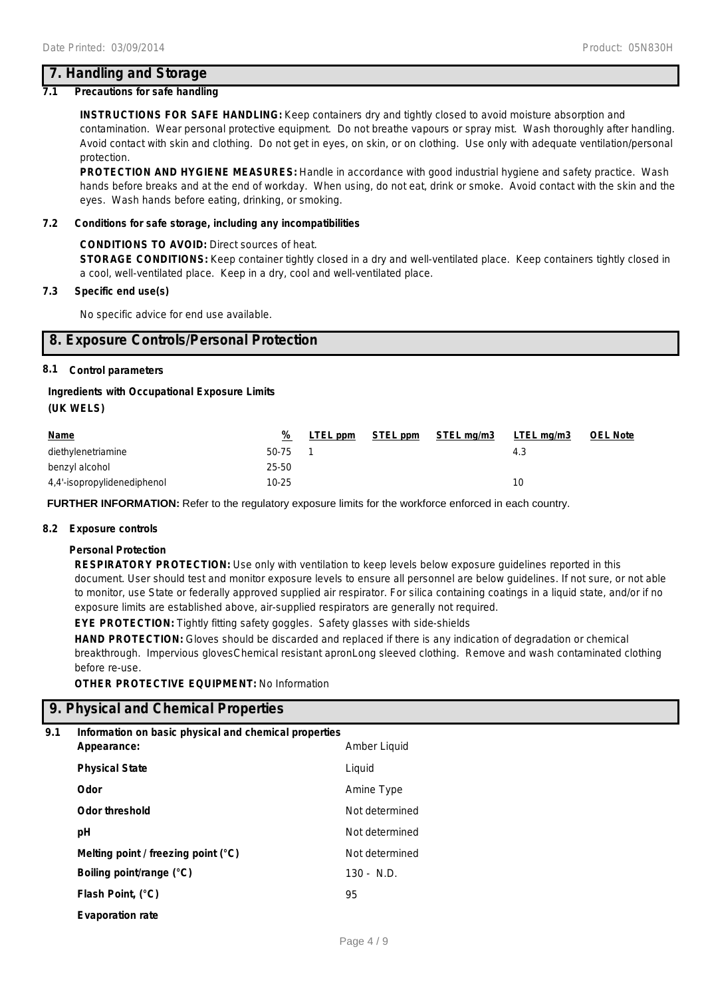### **7. Handling and Storage**

### **7.1 Precautions for safe handling**

**INSTRUCTIONS FOR SAFE HANDLING:** Keep containers dry and tightly closed to avoid moisture absorption and contamination. Wear personal protective equipment. Do not breathe vapours or spray mist. Wash thoroughly after handling. Avoid contact with skin and clothing. Do not get in eyes, on skin, or on clothing. Use only with adequate ventilation/personal protection.

**PROTECTION AND HYGIENE MEASURES:** Handle in accordance with good industrial hygiene and safety practice. Wash hands before breaks and at the end of workday. When using, do not eat, drink or smoke. Avoid contact with the skin and the eyes. Wash hands before eating, drinking, or smoking.

### **7.2 Conditions for safe storage, including any incompatibilities**

### **CONDITIONS TO AVOID:** Direct sources of heat.

**STORAGE CONDITIONS:** Keep container tightly closed in a dry and well-ventilated place. Keep containers tightly closed in a cool, well-ventilated place. Keep in a dry, cool and well-ventilated place.

### **7.3 Specific end use(s)**

No specific advice for end use available.

### **8. Exposure Controls/Personal Protection**

### **8.1 Control parameters**

### **Ingredients with Occupational Exposure Limits**

**(UK WELS)**

| <u>Name</u>                 | %         | LTEL ppm | STEL ppm | STEL mg/m3 | LTEL mg/m3 | <b>OEL Note</b> |
|-----------------------------|-----------|----------|----------|------------|------------|-----------------|
| diethylenetriamine          | 50-75     |          |          |            | 4.3        |                 |
| benzyl alcohol              | 25-50     |          |          |            |            |                 |
| 4,4'-isopropylidenediphenol | $10 - 25$ |          |          |            | 10         |                 |

**FURTHER INFORMATION:** Refer to the regulatory exposure limits for the workforce enforced in each country.

### **8.2 Exposure controls**

### **Personal Protection**

**RESPIRATORY PROTECTION:** Use only with ventilation to keep levels below exposure guidelines reported in this document. User should test and monitor exposure levels to ensure all personnel are below guidelines. If not sure, or not able to monitor, use State or federally approved supplied air respirator. For silica containing coatings in a liquid state, and/or if no exposure limits are established above, air-supplied respirators are generally not required.

**EYE PROTECTION:** Tightly fitting safety goggles. Safety glasses with side-shields

**HAND PROTECTION:** Gloves should be discarded and replaced if there is any indication of degradation or chemical breakthrough. Impervious glovesChemical resistant apronLong sleeved clothing. Remove and wash contaminated clothing before re-use.

**OTHER PROTECTIVE EQUIPMENT:** No Information

### **9. Physical and Chemical Properties**

### **9.1 Information on basic physical and chemical properties**

| Appearance:                           | Amber Liquid   |
|---------------------------------------|----------------|
| <b>Physical State</b>                 | Liquid         |
| Odor                                  | Amine Type     |
| <b>Odor threshold</b>                 | Not determined |
| рH                                    | Not determined |
| Melting point / freezing point $(°C)$ | Not determined |
| Boiling point/range (°C)              | $130 - N.D.$   |
| Flash Point, (°C)                     | 95             |
| <b>Evaporation rate</b>               |                |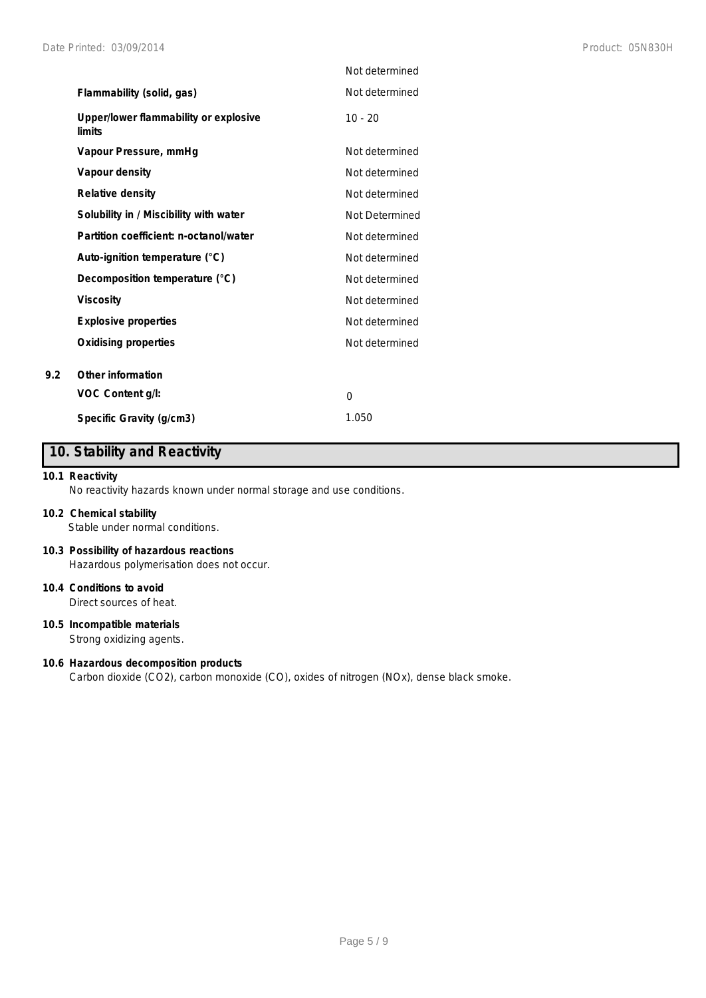|                                                 | Not determined |
|-------------------------------------------------|----------------|
| Flammability (solid, gas)                       | Not determined |
| Upper/lower flammability or explosive<br>limits | $10 - 20$      |
| Vapour Pressure, mmHq                           | Not determined |
| Vapour density                                  | Not determined |
| <b>Relative density</b>                         | Not determined |
| Solubility in / Miscibility with water          | Not Determined |
| Partition coefficient: n-octanol/water          | Not determined |
| Auto-ignition temperature (°C)                  | Not determined |
| Decomposition temperature (°C)                  | Not determined |
| <b>Viscosity</b>                                | Not determined |
| <b>Explosive properties</b>                     | Not determined |
| <b>Oxidising properties</b>                     | Not determined |
| Other information                               |                |
| VOC Content g/l:                                | 0              |
| Specific Gravity (g/cm3)                        | 1.050          |

# **10. Stability and Reactivity**

### **10.1 Reactivity**

**9.2 Other information**

No reactivity hazards known under normal storage and use conditions.

### **10.2 Chemical stability**

Stable under normal conditions.

### **10.3 Possibility of hazardous reactions** Hazardous polymerisation does not occur.

**10.4 Conditions to avoid**

Direct sources of heat.

### **10.5 Incompatible materials**

Strong oxidizing agents.

### **10.6 Hazardous decomposition products**

Carbon dioxide (CO2), carbon monoxide (CO), oxides of nitrogen (NOx), dense black smoke.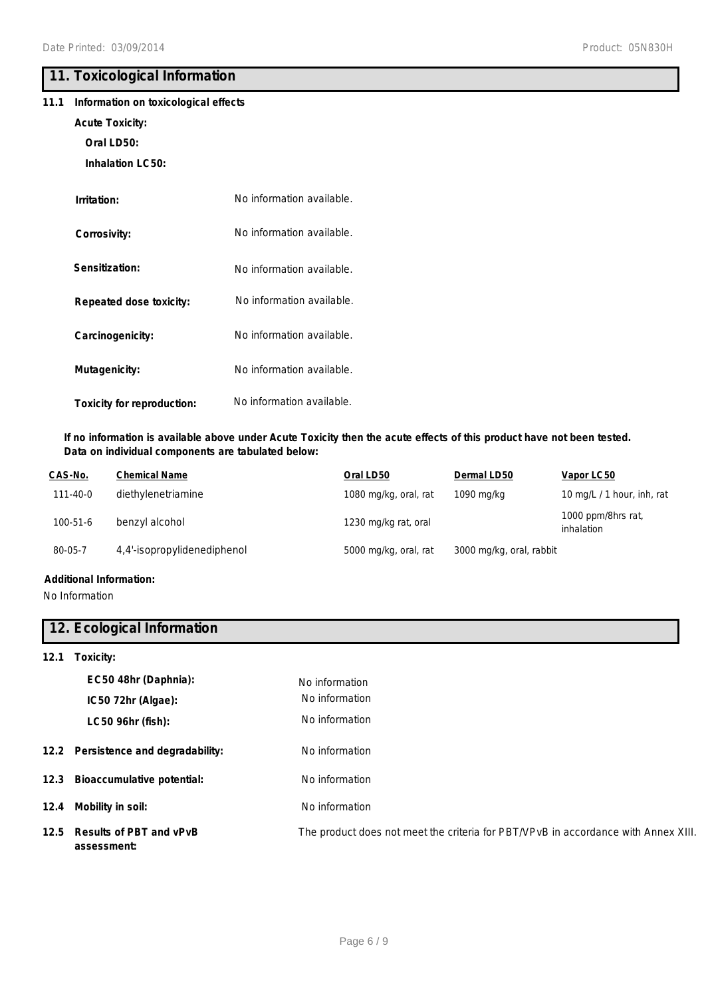# **11. Toxicological Information**

### **11.1 Information on toxicological effects**

### **Acute Toxicity:**

**Oral LD50:**

**Inhalation LC50:**

| Irritation:                | No information available. |
|----------------------------|---------------------------|
| Corrosivity:               | No information available. |
| Sensitization:             | No information available. |
| Repeated dose toxicity:    | No information available. |
| Carcinogenicity:           | No information available. |
| Mutagenicity:              | No information available. |
| Toxicity for reproduction: | No information available. |

### **If no information is available above under Acute Toxicity then the acute effects of this product have not been tested. Data on individual components are tabulated below:**

| CAS-No.  | <b>Chemical Name</b>        | Oral LD50             | Dermal LD50              | Vapor LC50                       |
|----------|-----------------------------|-----------------------|--------------------------|----------------------------------|
| 111-40-0 | diethylenetriamine          | 1080 mg/kg, oral, rat | 1090 mg/kg               | 10 mg/L / 1 hour, inh, rat       |
| 100-51-6 | benzyl alcohol              | 1230 mg/kg rat, oral  |                          | 1000 ppm/8hrs rat,<br>inhalation |
| 80-05-7  | 4,4'-isopropylidenediphenol | 5000 mg/kg, oral, rat | 3000 mg/kg, oral, rabbit |                                  |
|          |                             |                       |                          |                                  |

### **Additional Information:**

No Information

### **12. Ecological Information**

**12.1 Toxicity:**

| EC50 48hr (Daphnia):                        | No information                                                                     |
|---------------------------------------------|------------------------------------------------------------------------------------|
| IC50 72hr (Algae):                          | No information                                                                     |
| LC50 96hr (fish):                           | No information                                                                     |
| 12.2 Persistence and degradability:         | No information                                                                     |
| 12.3 Bioaccumulative potential:             | No information                                                                     |
| 12.4 Mobility in soil:                      | No information                                                                     |
| 12.5 Results of PBT and vPvB<br>assessment: | The product does not meet the criteria for PBT/VPvB in accordance with Annex XIII. |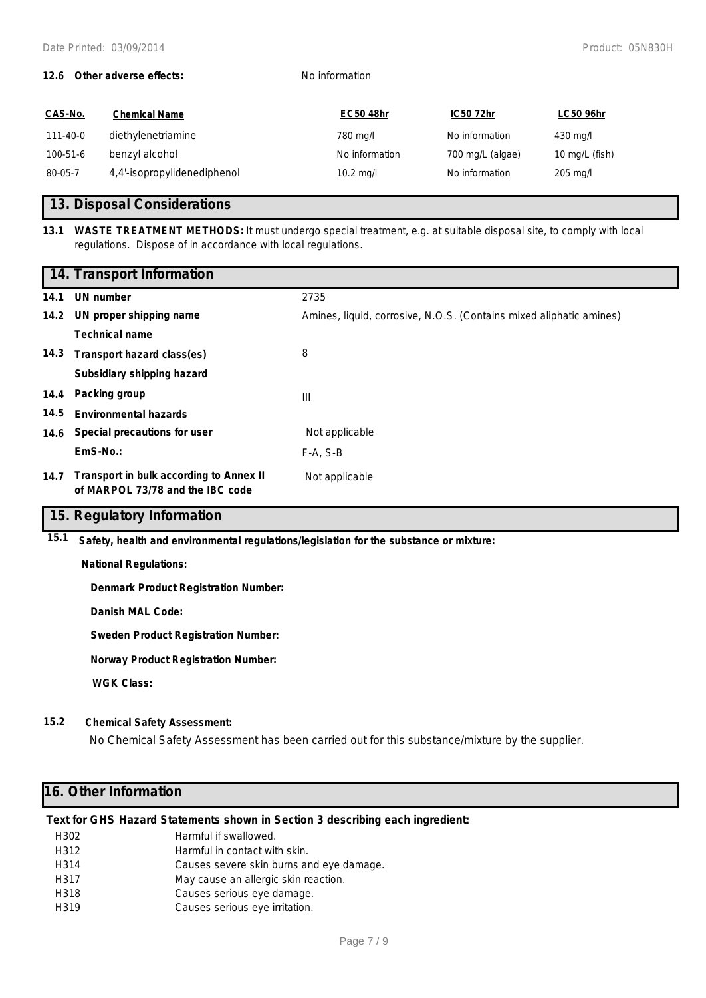### **12.6 Other adverse effects:** No information

| CAS-No.        | <b>Chemical Name</b>        | <b>EC50 48hr</b> | IC50 72hr        | <b>LC50 96hr</b> |
|----------------|-----------------------------|------------------|------------------|------------------|
| $111 - 40 - 0$ | diethylenetriamine          | 780 mg/l         | No information   | 430 mg/l         |
| 100-51-6       | benzyl alcohol              | No information   | 700 mg/L (algae) | 10 mg/L (fish)   |
| 80-05-7        | 4,4'-isopropylidenediphenol | $10.2$ mg/l      | No information   | $205$ mg/l       |

### **13. Disposal Considerations**

**<sup>13.1</sup> WASTE TREATMENT METHODS:** It must undergo special treatment, e.g. at suitable disposal site, to comply with local regulations. Dispose of in accordance with local regulations.

|      | 14. Transport Information                                                   |                                                                     |
|------|-----------------------------------------------------------------------------|---------------------------------------------------------------------|
| 14.1 | UN number                                                                   | 2735                                                                |
| 14.2 | UN proper shipping name                                                     | Amines, liquid, corrosive, N.O.S. (Contains mixed aliphatic amines) |
|      | <b>Technical name</b>                                                       |                                                                     |
| 14.3 | Transport hazard class(es)                                                  | 8                                                                   |
|      | Subsidiary shipping hazard                                                  |                                                                     |
| 14.4 | Packing group                                                               | $\mathbf{III}$                                                      |
| 14.5 | <b>Environmental hazards</b>                                                |                                                                     |
| 14.6 | Special precautions for user                                                | Not applicable                                                      |
|      | EmS-No.:                                                                    | $F-A, S-B$                                                          |
| 14.7 | Transport in bulk according to Annex II<br>of MARPOL 73/78 and the IBC code | Not applicable                                                      |

### **15. Regulatory Information**

**15.1 Safety, health and environmental regulations/legislation for the substance or mixture:**

### **National Regulations:**

**Denmark Product Registration Number:**

**Danish MAL Code:**

**Sweden Product Registration Number:**

**Norway Product Registration Number:**

**WGK Class:**

### **15.2 Chemical Safety Assessment:**

No Chemical Safety Assessment has been carried out for this substance/mixture by the supplier.

### **16. Other Information**

### **Text for GHS Hazard Statements shown in Section 3 describing each ingredient:**

| H302 | Harmful if swallowed.                    |
|------|------------------------------------------|
| H312 | Harmful in contact with skin.            |
| H314 | Causes severe skin burns and eye damage. |
| H317 | May cause an allergic skin reaction.     |
| H318 | Causes serious eye damage.               |
| H319 | Causes serious eye irritation.           |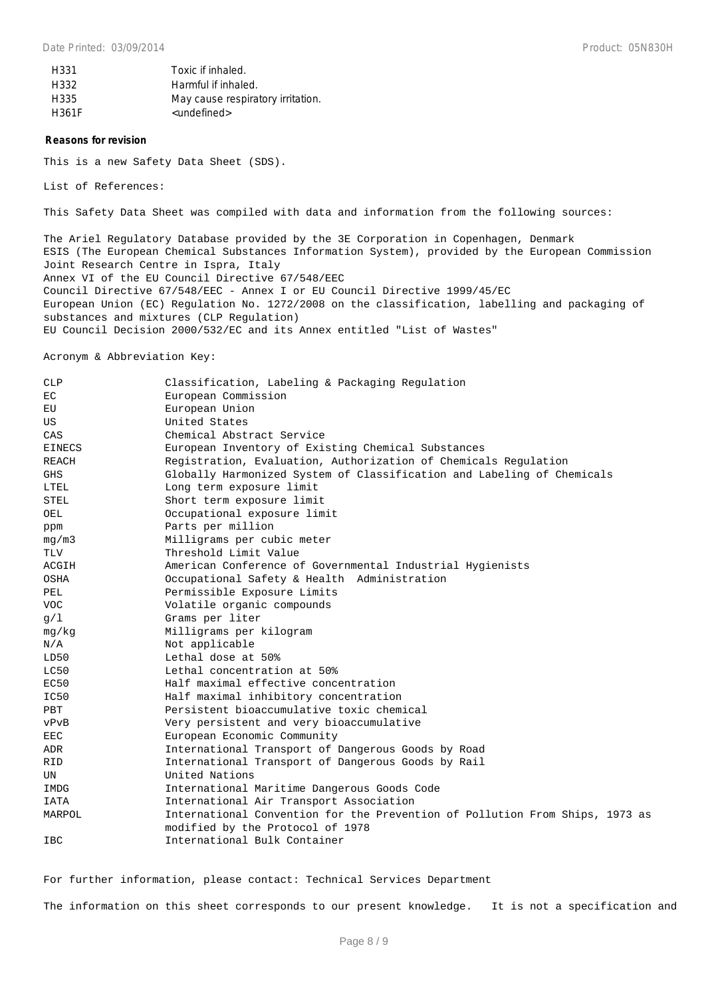| H331  | Toxic if inhaled.                 |
|-------|-----------------------------------|
| H332  | Harmful if inhaled.               |
| H335  | May cause respiratory irritation. |
| H361F | <undefined></undefined>           |

#### **Reasons for revision**

This is a new Safety Data Sheet (SDS).

List of References:

This Safety Data Sheet was compiled with data and information from the following sources:

The Ariel Regulatory Database provided by the 3E Corporation in Copenhagen, Denmark ESIS (The European Chemical Substances Information System), provided by the European Commission Joint Research Centre in Ispra, Italy Annex VI of the EU Council Directive 67/548/EEC Council Directive 67/548/EEC - Annex I or EU Council Directive 1999/45/EC European Union (EC) Regulation No. 1272/2008 on the classification, labelling and packaging of substances and mixtures (CLP Regulation) EU Council Decision 2000/532/EC and its Annex entitled "List of Wastes"

Acronym & Abbreviation Key:

| CLP           | Classification, Labeling & Packaging Regulation                              |  |  |
|---------------|------------------------------------------------------------------------------|--|--|
| EC            | European Commission                                                          |  |  |
| EU            | European Union                                                               |  |  |
| US            | United States                                                                |  |  |
| CAS           | Chemical Abstract Service                                                    |  |  |
| <b>EINECS</b> | European Inventory of Existing Chemical Substances                           |  |  |
| REACH         | Registration, Evaluation, Authorization of Chemicals Regulation              |  |  |
| <b>GHS</b>    | Globally Harmonized System of Classification and Labeling of Chemicals       |  |  |
| LTEL          | Long term exposure limit                                                     |  |  |
| <b>STEL</b>   | Short term exposure limit                                                    |  |  |
| OEL           | Occupational exposure limit                                                  |  |  |
| ppm           | Parts per million                                                            |  |  |
| mq/m3         | Milligrams per cubic meter                                                   |  |  |
| TLV           | Threshold Limit Value                                                        |  |  |
| ACGIH         | American Conference of Governmental Industrial Hygienists                    |  |  |
| OSHA          | Occupational Safety & Health Administration                                  |  |  |
| PEL           | Permissible Exposure Limits                                                  |  |  |
| <b>VOC</b>    | Volatile organic compounds                                                   |  |  |
| q/1           | Grams per liter                                                              |  |  |
| mq/kg         | Milligrams per kilogram                                                      |  |  |
| N/A           | Not applicable                                                               |  |  |
| LD50          | Lethal dose at 50%                                                           |  |  |
| LC50          | Lethal concentration at 50%                                                  |  |  |
| EC50          | Half maximal effective concentration                                         |  |  |
| IC50          | Half maximal inhibitory concentration                                        |  |  |
| PBT           | Persistent bioaccumulative toxic chemical                                    |  |  |
| vPvB          | Very persistent and very bioaccumulative                                     |  |  |
| EEC           | European Economic Community                                                  |  |  |
| ADR           | International Transport of Dangerous Goods by Road                           |  |  |
| <b>RID</b>    | International Transport of Dangerous Goods by Rail                           |  |  |
| UN            | United Nations                                                               |  |  |
| IMDG          | International Maritime Dangerous Goods Code                                  |  |  |
| <b>IATA</b>   | International Air Transport Association                                      |  |  |
| MARPOL        | International Convention for the Prevention of Pollution From Ships, 1973 as |  |  |
|               | modified by the Protocol of 1978                                             |  |  |
| <b>IBC</b>    | International Bulk Container                                                 |  |  |

For further information, please contact: Technical Services Department

The information on this sheet corresponds to our present knowledge. It is not a specification and